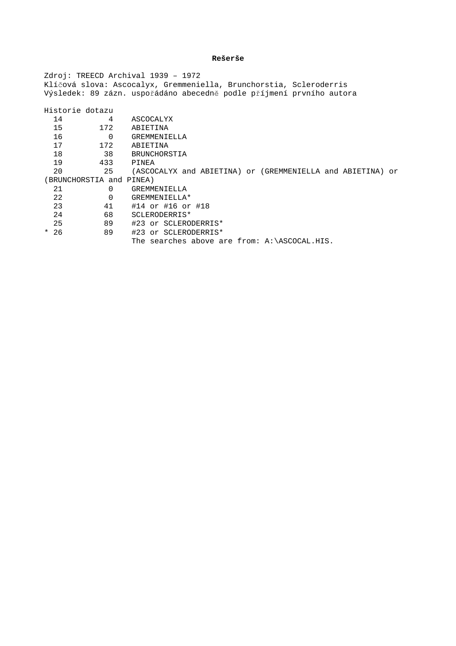## **Rešerše**

Zdroj: TREECD Archival 1939 – 1972 Klíčová slova: Ascocalyx, Gremmeniella, Brunchorstia, Scleroderris Výsledek: 89 zázn. uspořádáno abecedně podle příjmení prvního autora

|                          | Historie dotazu |          |                                                            |
|--------------------------|-----------------|----------|------------------------------------------------------------|
|                          | 14              | 4        | ASCOCALYX                                                  |
|                          | 15              | 172      | ABIETINA                                                   |
|                          | 16              | $\Omega$ | GREMMENIELLA                                               |
|                          | 17              | 172      | ABIETINA                                                   |
|                          | 18              | 38       | BRUNCHORSTIA                                               |
|                          | 19              | 433      | PINEA                                                      |
|                          | 20              | 25       | (ASCOCALYX and ABIETINA) or (GREMMENIELLA and ABIETINA) or |
| (BRUNCHORSTIA and PINEA) |                 |          |                                                            |
|                          | 21              | O        | GREMMENIELLA                                               |
|                          | 22              | $\Omega$ | GREMMENIELLA*                                              |
|                          | 23              | 41       | #14 or #16 or #18                                          |
|                          | 24              | 68       | SCLERODERRIS*                                              |
|                          | 25              | 89       | #23 or SCLERODERRIS*                                       |
|                          | $*26$           | 89       | #23 or SCLERODERRIS*                                       |
|                          |                 |          | The searches above are from: A:\ASCOCAL.HIS.               |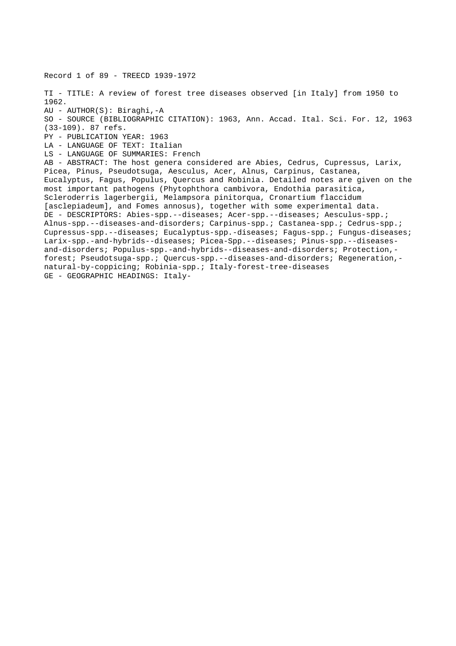Record 1 of 89 - TREECD 1939-1972 TI - TITLE: A review of forest tree diseases observed [in Italy] from 1950 to 1962. AU - AUTHOR(S): Biraghi,-A SO - SOURCE (BIBLIOGRAPHIC CITATION): 1963, Ann. Accad. Ital. Sci. For. 12, 1963 (33-109). 87 refs. PY - PUBLICATION YEAR: 1963 LA - LANGUAGE OF TEXT: Italian LS - LANGUAGE OF SUMMARIES: French AB - ABSTRACT: The host genera considered are Abies, Cedrus, Cupressus, Larix, Picea, Pinus, Pseudotsuga, Aesculus, Acer, Alnus, Carpinus, Castanea, Eucalyptus, Fagus, Populus, Quercus and Robinia. Detailed notes are given on the most important pathogens (Phytophthora cambivora, Endothia parasitica, Scleroderris lagerbergii, Melampsora pinitorqua, Cronartium flaccidum [asclepiadeum], and Fomes annosus), together with some experimental data. DE - DESCRIPTORS: Abies-spp.--diseases; Acer-spp.--diseases; Aesculus-spp.; Alnus-spp.--diseases-and-disorders; Carpinus-spp.; Castanea-spp.; Cedrus-spp.; Cupressus-spp.--diseases; Eucalyptus-spp.-diseases; Fagus-spp.; Fungus-diseases; Larix-spp.-and-hybrids--diseases; Picea-Spp.--diseases; Pinus-spp.--diseasesand-disorders; Populus-spp.-and-hybrids--diseases-and-disorders; Protection, forest; Pseudotsuga-spp.; Quercus-spp.--diseases-and-disorders; Regeneration, natural-by-coppicing; Robinia-spp.; Italy-forest-tree-diseases GE - GEOGRAPHIC HEADINGS: Italy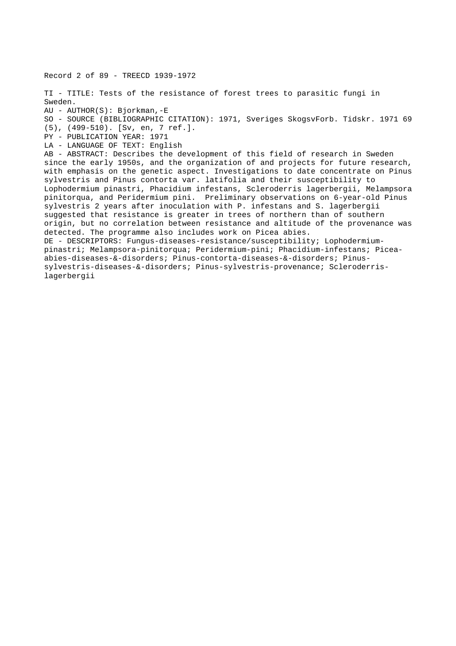Record 2 of 89 - TREECD 1939-1972 TI - TITLE: Tests of the resistance of forest trees to parasitic fungi in Sweden. AU - AUTHOR(S): Bjorkman,-E SO - SOURCE (BIBLIOGRAPHIC CITATION): 1971, Sveriges SkogsvForb. Tidskr. 1971 69 (5), (499-510). [Sv, en, 7 ref.]. PY - PUBLICATION YEAR: 1971 LA - LANGUAGE OF TEXT: English AB - ABSTRACT: Describes the development of this field of research in Sweden since the early 1950s, and the organization of and projects for future research, with emphasis on the genetic aspect. Investigations to date concentrate on Pinus sylvestris and Pinus contorta var. latifolia and their susceptibility to Lophodermium pinastri, Phacidium infestans, Scleroderris lagerbergii, Melampsora pinitorqua, and Peridermium pini. Preliminary observations on 6-year-old Pinus sylvestris 2 years after inoculation with P. infestans and S. lagerbergii suggested that resistance is greater in trees of northern than of southern origin, but no correlation between resistance and altitude of the provenance was detected. The programme also includes work on Picea abies. DE - DESCRIPTORS: Fungus-diseases-resistance/susceptibility; Lophodermiumpinastri; Melampsora-pinitorqua; Peridermium-pini; Phacidium-infestans; Piceaabies-diseases-&-disorders; Pinus-contorta-diseases-&-disorders; Pinussylvestris-diseases-&-disorders; Pinus-sylvestris-provenance; Scleroderrislagerbergii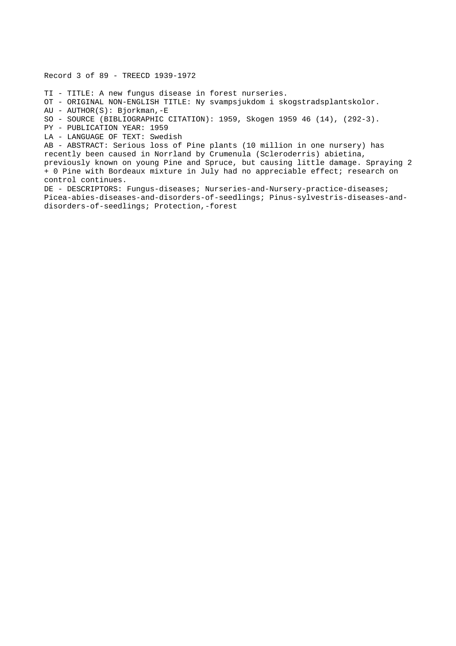Record 3 of 89 - TREECD 1939-1972

TI - TITLE: A new fungus disease in forest nurseries.

OT - ORIGINAL NON-ENGLISH TITLE: Ny svampsjukdom i skogstradsplantskolor.

AU - AUTHOR(S): Bjorkman,-E

SO - SOURCE (BIBLIOGRAPHIC CITATION): 1959, Skogen 1959 46 (14), (292-3).

PY - PUBLICATION YEAR: 1959

LA - LANGUAGE OF TEXT: Swedish

AB - ABSTRACT: Serious loss of Pine plants (10 million in one nursery) has recently been caused in Norrland by Crumenula (Scleroderris) abietina, previously known on young Pine and Spruce, but causing little damage. Spraying 2 + 0 Pine with Bordeaux mixture in July had no appreciable effect; research on control continues.

DE - DESCRIPTORS: Fungus-diseases; Nurseries-and-Nursery-practice-diseases; Picea-abies-diseases-and-disorders-of-seedlings; Pinus-sylvestris-diseases-anddisorders-of-seedlings; Protection,-forest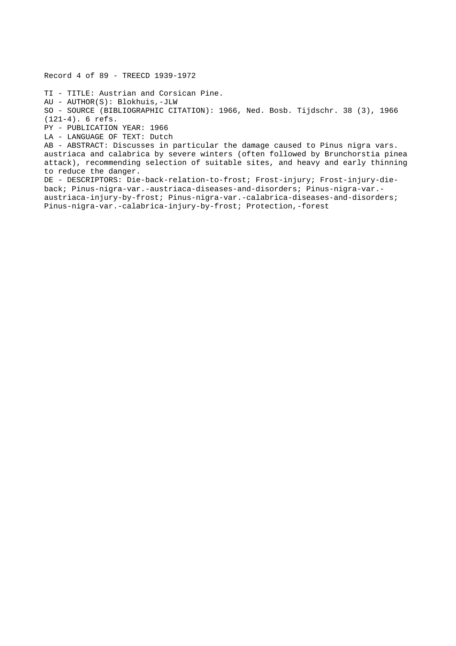Record 4 of 89 - TREECD 1939-1972 TI - TITLE: Austrian and Corsican Pine. AU - AUTHOR(S): Blokhuis,-JLW SO - SOURCE (BIBLIOGRAPHIC CITATION): 1966, Ned. Bosb. Tijdschr. 38 (3), 1966 (121-4). 6 refs. PY - PUBLICATION YEAR: 1966 LA - LANGUAGE OF TEXT: Dutch AB - ABSTRACT: Discusses in particular the damage caused to Pinus nigra vars. austriaca and calabrica by severe winters (often followed by Brunchorstia pinea attack), recommending selection of suitable sites, and heavy and early thinning to reduce the danger. DE - DESCRIPTORS: Die-back-relation-to-frost; Frost-injury; Frost-injury-dieback; Pinus-nigra-var.-austriaca-diseases-and-disorders; Pinus-nigra-var. austriaca-injury-by-frost; Pinus-nigra-var.-calabrica-diseases-and-disorders; Pinus-nigra-var.-calabrica-injury-by-frost; Protection,-forest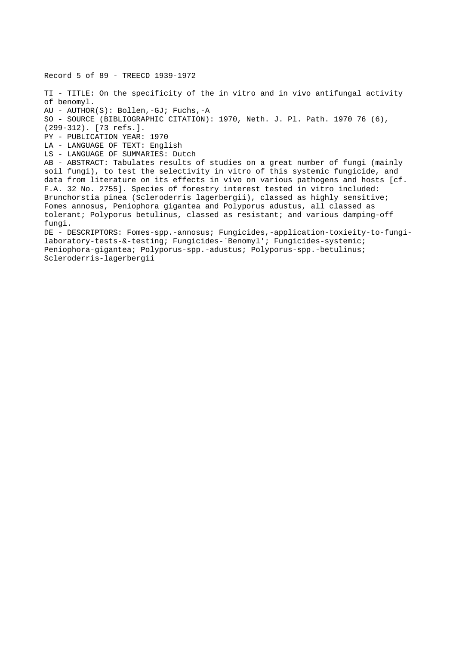Record 5 of 89 - TREECD 1939-1972 TI - TITLE: On the specificity of the in vitro and in vivo antifungal activity of benomyl. AU - AUTHOR(S): Bollen,-GJ; Fuchs,-A SO - SOURCE (BIBLIOGRAPHIC CITATION): 1970, Neth. J. Pl. Path. 1970 76 (6), (299-312). [73 refs.]. PY - PUBLICATION YEAR: 1970 LA - LANGUAGE OF TEXT: English LS - LANGUAGE OF SUMMARIES: Dutch AB - ABSTRACT: Tabulates results of studies on a great number of fungi (mainly soil fungi), to test the selectivity in vitro of this systemic fungicide, and data from literature on its effects in vivo on various pathogens and hosts [cf. F.A. 32 No. 2755]. Species of forestry interest tested in vitro included: Brunchorstia pinea (Scleroderris lagerbergii), classed as highly sensitive; Fomes annosus, Peniophora gigantea and Polyporus adustus, all classed as tolerant; Polyporus betulinus, classed as resistant; and various damping-off fungi. DE - DESCRIPTORS: Fomes-spp.-annosus; Fungicides,-application-toxieity-to-fungilaboratory-tests-&-testing; Fungicides-`Benomyl'; Fungicides-systemic; Peniophora-gigantea; Polyporus-spp.-adustus; Polyporus-spp.-betulinus; Scleroderris-lagerbergii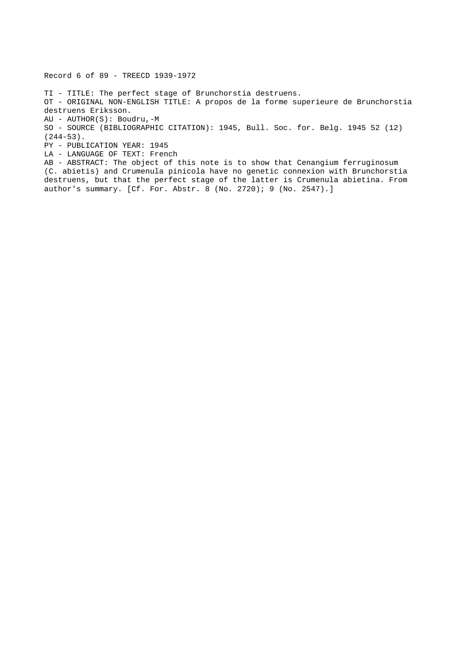TI - TITLE: The perfect stage of Brunchorstia destruens. OT - ORIGINAL NON-ENGLISH TITLE: A propos de la forme superieure de Brunchorstia destruens Eriksson. AU - AUTHOR(S): Boudru,-M SO - SOURCE (BIBLIOGRAPHIC CITATION): 1945, Bull. Soc. for. Belg. 1945 52 (12) (244-53). PY - PUBLICATION YEAR: 1945 LA - LANGUAGE OF TEXT: French AB - ABSTRACT: The object of this note is to show that Cenangium ferruginosum (C. abietis) and Crumenula pinicola have no genetic connexion with Brunchorstia destruens, but that the perfect stage of the latter is Crumenula abietina. From author's summary. [Cf. For. Abstr. 8 (No. 2720); 9 (No. 2547).]

Record 6 of 89 - TREECD 1939-1972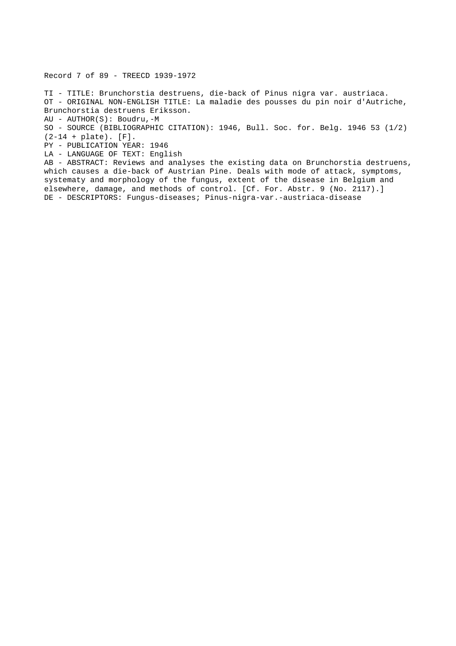Record 7 of 89 - TREECD 1939-1972

TI - TITLE: Brunchorstia destruens, die-back of Pinus nigra var. austriaca. OT - ORIGINAL NON-ENGLISH TITLE: La maladie des pousses du pin noir d'Autriche, Brunchorstia destruens Eriksson. AU - AUTHOR(S): Boudru,-M SO - SOURCE (BIBLIOGRAPHIC CITATION): 1946, Bull. Soc. for. Belg. 1946 53 (1/2) (2-14 + plate). [F].

PY - PUBLICATION YEAR: 1946

LA - LANGUAGE OF TEXT: English

AB - ABSTRACT: Reviews and analyses the existing data on Brunchorstia destruens, which causes a die-back of Austrian Pine. Deals with mode of attack, symptoms, systematy and morphology of the fungus, extent of the disease in Belgium and elsewhere, damage, and methods of control. [Cf. For. Abstr. 9 (No. 2117).] DE - DESCRIPTORS: Fungus-diseases; Pinus-nigra-var.-austriaca-disease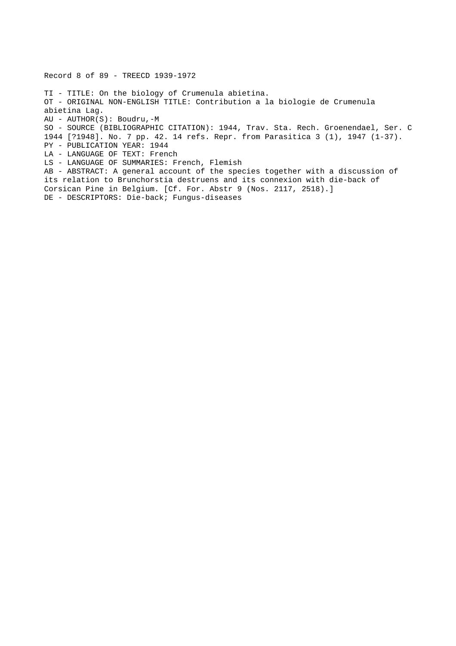Record 8 of 89 - TREECD 1939-1972 TI - TITLE: On the biology of Crumenula abietina. OT - ORIGINAL NON-ENGLISH TITLE: Contribution a la biologie de Crumenula abietina Lag. AU - AUTHOR(S): Boudru,-M SO - SOURCE (BIBLIOGRAPHIC CITATION): 1944, Trav. Sta. Rech. Groenendael, Ser. C 1944 [?1948]. No. 7 pp. 42. 14 refs. Repr. from Parasitica 3 (1), 1947 (1-37). PY - PUBLICATION YEAR: 1944 LA - LANGUAGE OF TEXT: French LS - LANGUAGE OF SUMMARIES: French, Flemish AB - ABSTRACT: A general account of the species together with a discussion of its relation to Brunchorstia destruens and its connexion with die-back of Corsican Pine in Belgium. [Cf. For. Abstr 9 (Nos. 2117, 2518).] DE - DESCRIPTORS: Die-back; Fungus-diseases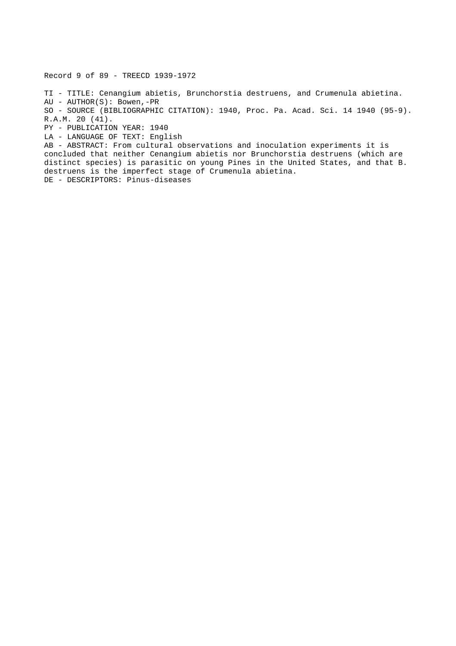Record 9 of 89 - TREECD 1939-1972

TI - TITLE: Cenangium abietis, Brunchorstia destruens, and Crumenula abietina. AU - AUTHOR(S): Bowen,-PR SO - SOURCE (BIBLIOGRAPHIC CITATION): 1940, Proc. Pa. Acad. Sci. 14 1940 (95-9). R.A.M. 20 (41). PY - PUBLICATION YEAR: 1940 LA - LANGUAGE OF TEXT: English AB - ABSTRACT: From cultural observations and inoculation experiments it is concluded that neither Cenangium abietis nor Brunchorstia destruens (which are distinct species) is parasitic on young Pines in the United States, and that B.

destruens is the imperfect stage of Crumenula abietina.

DE - DESCRIPTORS: Pinus-diseases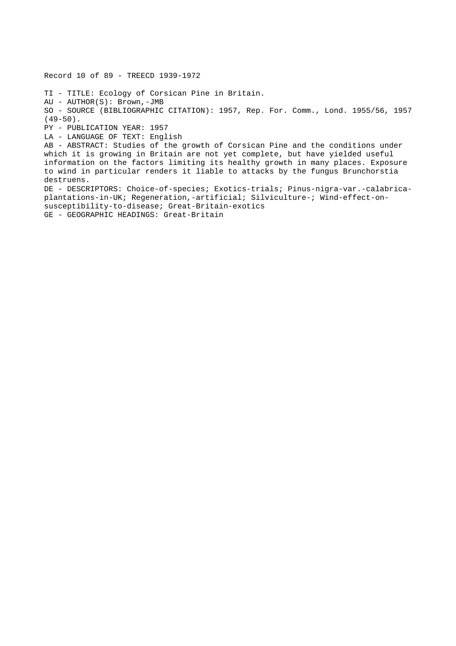Record 10 of 89 - TREECD 1939-1972 TI - TITLE: Ecology of Corsican Pine in Britain. AU - AUTHOR(S): Brown,-JMB SO - SOURCE (BIBLIOGRAPHIC CITATION): 1957, Rep. For. Comm., Lond. 1955/56, 1957  $(49-50)$ . PY - PUBLICATION YEAR: 1957 LA - LANGUAGE OF TEXT: English AB - ABSTRACT: Studies of the growth of Corsican Pine and the conditions under which it is growing in Britain are not yet complete, but have yielded useful information on the factors limiting its healthy growth in many places. Exposure to wind in particular renders it liable to attacks by the fungus Brunchorstia destruens. DE - DESCRIPTORS: Choice-of-species; Exotics-trials; Pinus-nigra-var.-calabricaplantations-in-UK; Regeneration,-artificial; Silviculture-; Wind-effect-onsusceptibility-to-disease; Great-Britain-exotics GE - GEOGRAPHIC HEADINGS: Great-Britain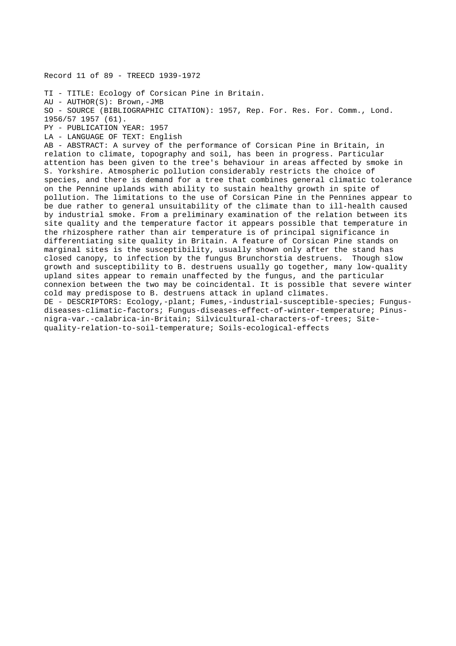Record 11 of 89 - TREECD 1939-1972

TI - TITLE: Ecology of Corsican Pine in Britain.

AU - AUTHOR(S): Brown,-JMB

SO - SOURCE (BIBLIOGRAPHIC CITATION): 1957, Rep. For. Res. For. Comm., Lond.

1956/57 1957 (61).

PY - PUBLICATION YEAR: 1957 LA - LANGUAGE OF TEXT: English

AB - ABSTRACT: A survey of the performance of Corsican Pine in Britain, in relation to climate, topography and soil, has been in progress. Particular attention has been given to the tree's behaviour in areas affected by smoke in S. Yorkshire. Atmospheric pollution considerably restricts the choice of species, and there is demand for a tree that combines general climatic tolerance on the Pennine uplands with ability to sustain healthy growth in spite of pollution. The limitations to the use of Corsican Pine in the Pennines appear to be due rather to general unsuitability of the climate than to ill-health caused by industrial smoke. From a preliminary examination of the relation between its site quality and the temperature factor it appears possible that temperature in the rhizosphere rather than air temperature is of principal significance in differentiating site quality in Britain. A feature of Corsican Pine stands on marginal sites is the susceptibility, usually shown only after the stand has closed canopy, to infection by the fungus Brunchorstia destruens. Though slow growth and susceptibility to B. destruens usually go together, many low-quality upland sites appear to remain unaffected by the fungus, and the particular connexion between the two may be coincidental. It is possible that severe winter cold may predispose to B. destruens attack in upland climates. DE - DESCRIPTORS: Ecology,-plant; Fumes,-industrial-susceptible-species; Fungusdiseases-climatic-factors; Fungus-diseases-effect-of-winter-temperature; Pinusnigra-var.-calabrica-in-Britain; Silvicultural-characters-of-trees; Sitequality-relation-to-soil-temperature; Soils-ecological-effects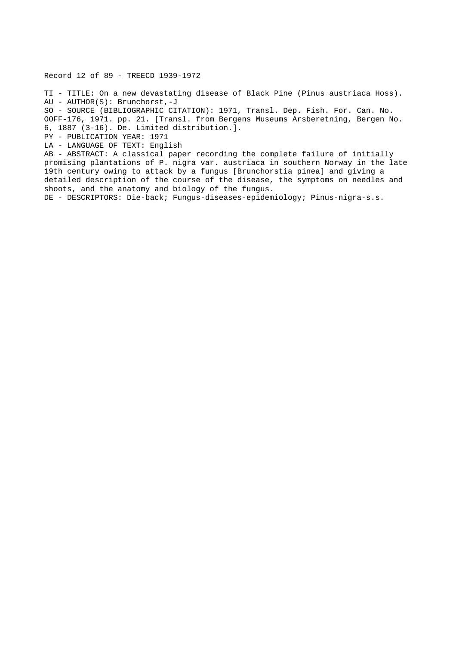Record 12 of 89 - TREECD 1939-1972

TI - TITLE: On a new devastating disease of Black Pine (Pinus austriaca Hoss). AU - AUTHOR(S): Brunchorst,-J

SO - SOURCE (BIBLIOGRAPHIC CITATION): 1971, Transl. Dep. Fish. For. Can. No. OOFF-176, 1971. pp. 21. [Transl. from Bergens Museums Arsberetning, Bergen No. 6, 1887 (3-16). De. Limited distribution.].

PY - PUBLICATION YEAR: 1971

LA - LANGUAGE OF TEXT: English

AB - ABSTRACT: A classical paper recording the complete failure of initially promising plantations of P. nigra var. austriaca in southern Norway in the late 19th century owing to attack by a fungus [Brunchorstia pinea] and giving a detailed description of the course of the disease, the symptoms on needles and shoots, and the anatomy and biology of the fungus.

DE - DESCRIPTORS: Die-back; Fungus-diseases-epidemiology; Pinus-nigra-s.s.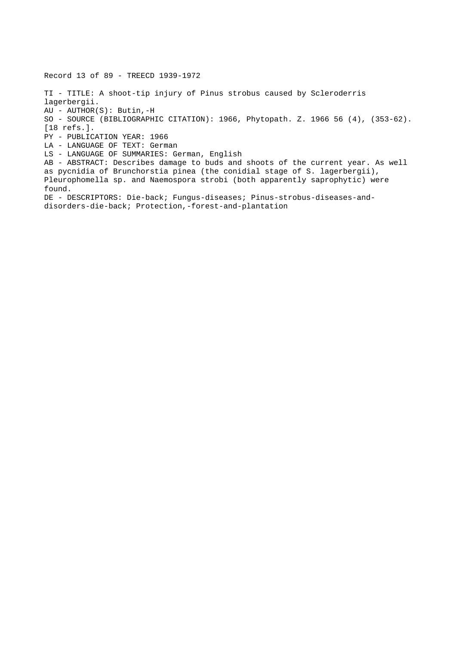Record 13 of 89 - TREECD 1939-1972 TI - TITLE: A shoot-tip injury of Pinus strobus caused by Scleroderris lagerbergii. AU - AUTHOR(S): Butin,-H SO - SOURCE (BIBLIOGRAPHIC CITATION): 1966, Phytopath. Z. 1966 56 (4), (353-62). [18 refs.]. PY - PUBLICATION YEAR: 1966 LA - LANGUAGE OF TEXT: German LS - LANGUAGE OF SUMMARIES: German, English AB - ABSTRACT: Describes damage to buds and shoots of the current year. As well as pycnidia of Brunchorstia pinea (the conidial stage of S. lagerbergii), Pleurophomella sp. and Naemospora strobi (both apparently saprophytic) were found. DE - DESCRIPTORS: Die-back; Fungus-diseases; Pinus-strobus-diseases-anddisorders-die-back; Protection,-forest-and-plantation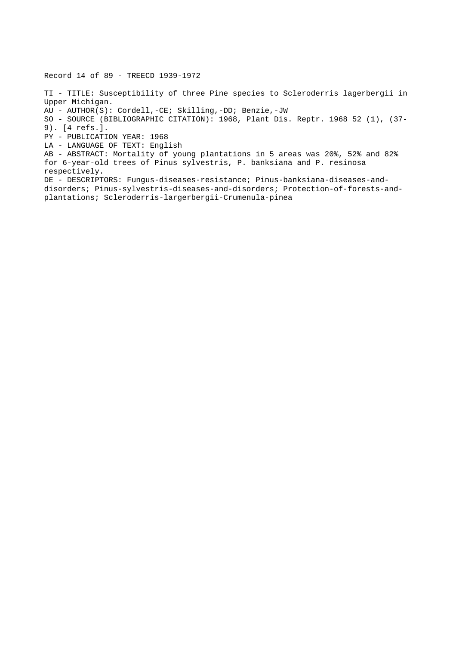Record 14 of 89 - TREECD 1939-1972

TI - TITLE: Susceptibility of three Pine species to Scleroderris lagerbergii in Upper Michigan. AU - AUTHOR(S): Cordell,-CE; Skilling,-DD; Benzie,-JW SO - SOURCE (BIBLIOGRAPHIC CITATION): 1968, Plant Dis. Reptr. 1968 52 (1), (37- 9). [4 refs.]. PY - PUBLICATION YEAR: 1968 LA - LANGUAGE OF TEXT: English AB - ABSTRACT: Mortality of young plantations in 5 areas was 20%, 52% and 82% for 6-year-old trees of Pinus sylvestris, P. banksiana and P. resinosa respectively. DE - DESCRIPTORS: Fungus-diseases-resistance; Pinus-banksiana-diseases-anddisorders; Pinus-sylvestris-diseases-and-disorders; Protection-of-forests-andplantations; Scleroderris-largerbergii-Crumenula-pinea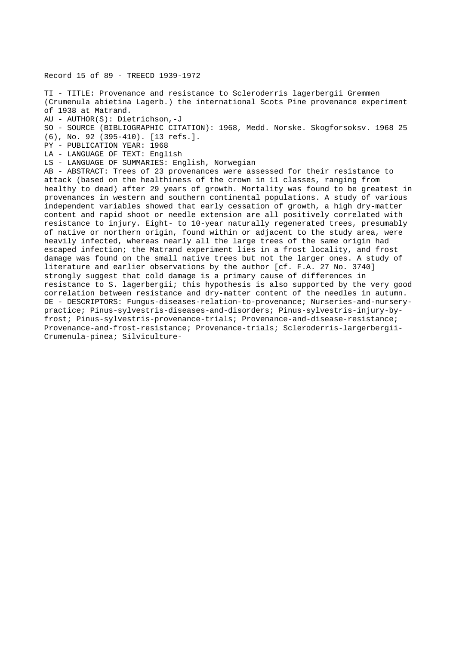Record 15 of 89 - TREECD 1939-1972

TI - TITLE: Provenance and resistance to Scleroderris lagerbergii Gremmen (Crumenula abietina Lagerb.) the international Scots Pine provenance experiment of 1938 at Matrand.

- AU AUTHOR(S): Dietrichson,-J
- SO SOURCE (BIBLIOGRAPHIC CITATION): 1968, Medd. Norske. Skogforsoksv. 1968 25
- (6), No. 92 (395-410). [13 refs.].
- PY PUBLICATION YEAR: 1968
- LA LANGUAGE OF TEXT: English
- LS LANGUAGE OF SUMMARIES: English, Norwegian

AB - ABSTRACT: Trees of 23 provenances were assessed for their resistance to attack (based on the healthiness of the crown in 11 classes, ranging from healthy to dead) after 29 years of growth. Mortality was found to be greatest in provenances in western and southern continental populations. A study of various independent variables showed that early cessation of growth, a high dry-matter content and rapid shoot or needle extension are all positively correlated with resistance to injury. Eight- to 10-year naturally regenerated trees, presumably of native or northern origin, found within or adjacent to the study area, were heavily infected, whereas nearly all the large trees of the same origin had escaped infection; the Matrand experiment lies in a frost locality, and frost damage was found on the small native trees but not the larger ones. A study of literature and earlier observations by the author [cf. F.A. 27 No. 3740] strongly suggest that cold damage is a primary cause of differences in resistance to S. lagerbergii; this hypothesis is also supported by the very good correlation between resistance and dry-matter content of the needles in autumn. DE - DESCRIPTORS: Fungus-diseases-relation-to-provenance; Nurseries-and-nurserypractice; Pinus-sylvestris-diseases-and-disorders; Pinus-sylvestris-injury-byfrost; Pinus-sylvestris-provenance-trials; Provenance-and-disease-resistance; Provenance-and-frost-resistance; Provenance-trials; Scleroderris-largerbergii-Crumenula-pinea; Silviculture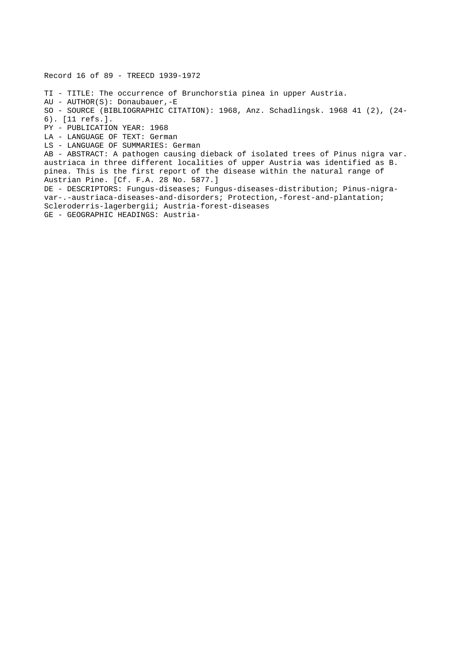Record 16 of 89 - TREECD 1939-1972 TI - TITLE: The occurrence of Brunchorstia pinea in upper Austria. AU - AUTHOR(S): Donaubauer,-E SO - SOURCE (BIBLIOGRAPHIC CITATION): 1968, Anz. Schadlingsk. 1968 41 (2), (24- 6). [11 refs.]. PY - PUBLICATION YEAR: 1968 LA - LANGUAGE OF TEXT: German LS - LANGUAGE OF SUMMARIES: German AB - ABSTRACT: A pathogen causing dieback of isolated trees of Pinus nigra var. austriaca in three different localities of upper Austria was identified as B. pinea. This is the first report of the disease within the natural range of Austrian Pine. [Cf. F.A. 28 No. 5877.] DE - DESCRIPTORS: Fungus-diseases; Fungus-diseases-distribution; Pinus-nigravar-.-austriaca-diseases-and-disorders; Protection,-forest-and-plantation; Scleroderris-lagerbergii; Austria-forest-diseases GE - GEOGRAPHIC HEADINGS: Austria-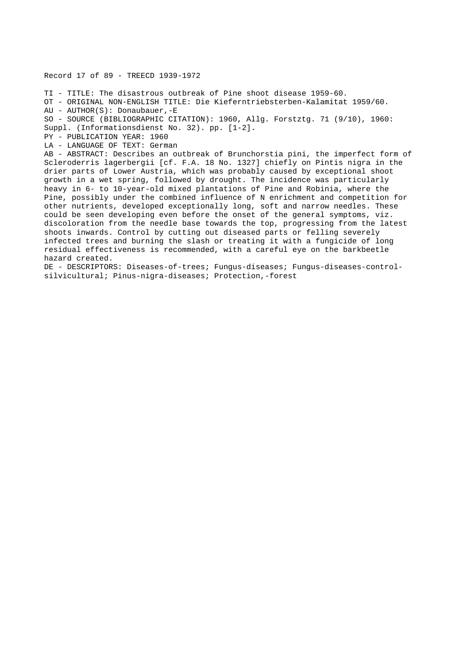## Record 17 of 89 - TREECD 1939-1972

TI - TITLE: The disastrous outbreak of Pine shoot disease 1959-60. OT - ORIGINAL NON-ENGLISH TITLE: Die Kieferntriebsterben-Kalamitat 1959/60. AU - AUTHOR(S): Donaubauer,-E SO - SOURCE (BIBLIOGRAPHIC CITATION): 1960, Allg. Forstztg. 71 (9/10), 1960: Suppl. (Informationsdienst No. 32). pp. [1-2]. PY - PUBLICATION YEAR: 1960 LA - LANGUAGE OF TEXT: German AB - ABSTRACT: Describes an outbreak of Brunchorstia pini, the imperfect form of Scleroderris lagerbergii [cf. F.A. 18 No. 1327] chiefly on Pintis nigra in the drier parts of Lower Austria, which was probably caused by exceptional shoot growth in a wet spring, followed by drought. The incidence was particularly heavy in 6- to 10-year-old mixed plantations of Pine and Robinia, where the Pine, possibly under the combined influence of N enrichment and competition for other nutrients, developed exceptionally long, soft and narrow needles. These could be seen developing even before the onset of the general symptoms, viz. discoloration from the needle base towards the top, progressing from the latest shoots inwards. Control by cutting out diseased parts or felling severely infected trees and burning the slash or treating it with a fungicide of long residual effectiveness is recommended, with a careful eye on the barkbeetle hazard created. DE - DESCRIPTORS: Diseases-of-trees; Fungus-diseases; Fungus-diseases-control-

silvicultural; Pinus-nigra-diseases; Protection,-forest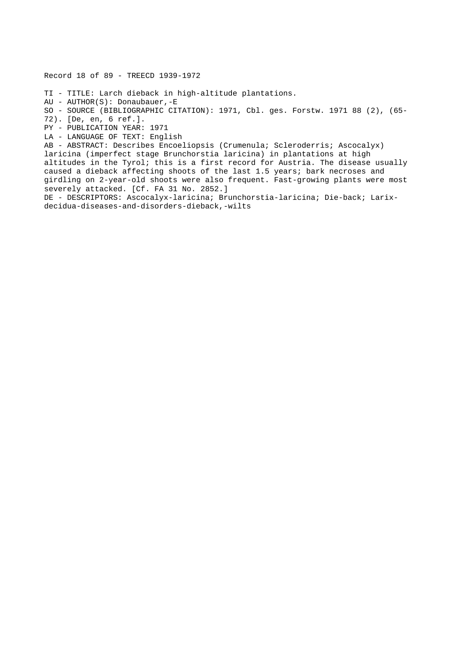Record 18 of 89 - TREECD 1939-1972

TI - TITLE: Larch dieback in high-altitude plantations.

AU - AUTHOR(S): Donaubauer,-E

SO - SOURCE (BIBLIOGRAPHIC CITATION): 1971, Cbl. ges. Forstw. 1971 88 (2), (65- 72). [De, en, 6 ref.].

PY - PUBLICATION YEAR: 1971

LA - LANGUAGE OF TEXT: English

AB - ABSTRACT: Describes Encoeliopsis (Crumenula; Scleroderris; Ascocalyx) laricina (imperfect stage Brunchorstia laricina) in plantations at high altitudes in the Tyrol; this is a first record for Austria. The disease usually caused a dieback affecting shoots of the last 1.5 years; bark necroses and girdling on 2-year-old shoots were also frequent. Fast-growing plants were most severely attacked. [Cf. FA 31 No. 2852.]

DE - DESCRIPTORS: Ascocalyx-laricina; Brunchorstia-laricina; Die-back; Larixdecidua-diseases-and-disorders-dieback,-wilts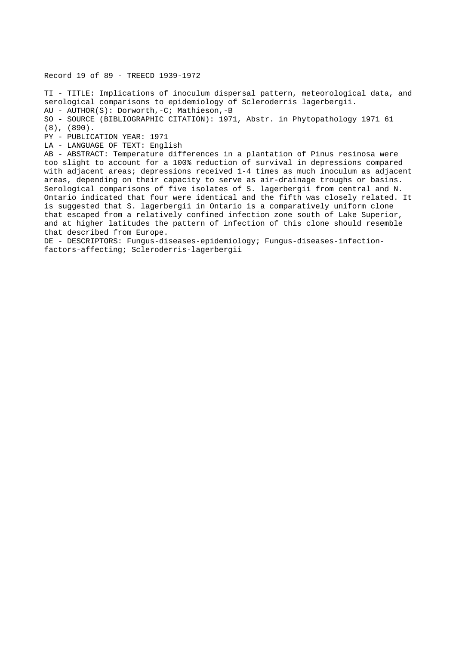Record 19 of 89 - TREECD 1939-1972

TI - TITLE: Implications of inoculum dispersal pattern, meteorological data, and serological comparisons to epidemiology of Scleroderris lagerbergii. AU - AUTHOR(S): Dorworth,-C; Mathieson,-B SO - SOURCE (BIBLIOGRAPHIC CITATION): 1971, Abstr. in Phytopathology 1971 61 (8), (890). PY - PUBLICATION YEAR: 1971 LA - LANGUAGE OF TEXT: English AB - ABSTRACT: Temperature differences in a plantation of Pinus resinosa were too slight to account for a 100% reduction of survival in depressions compared with adjacent areas; depressions received 1-4 times as much inoculum as adjacent areas, depending on their capacity to serve as air-drainage troughs or basins. Serological comparisons of five isolates of S. lagerbergii from central and N. Ontario indicated that four were identical and the fifth was closely related. It is suggested that S. lagerbergii in Ontario is a comparatively uniform clone that escaped from a relatively confined infection zone south of Lake Superior, and at higher latitudes the pattern of infection of this clone should resemble that described from Europe.

DE - DESCRIPTORS: Fungus-diseases-epidemiology; Fungus-diseases-infectionfactors-affecting; Scleroderris-lagerbergii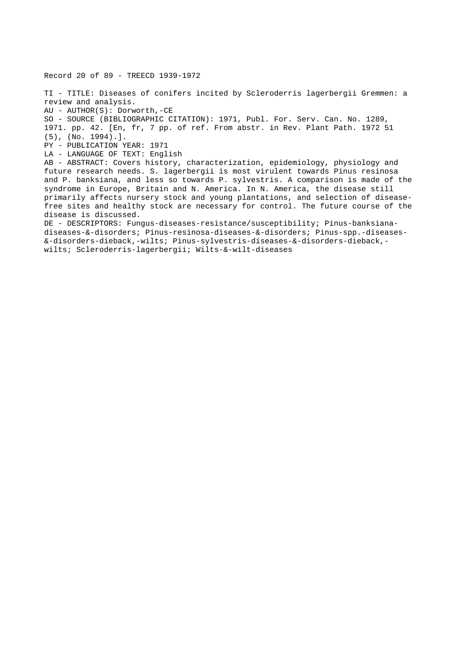Record 20 of 89 - TREECD 1939-1972

TI - TITLE: Diseases of conifers incited by Scleroderris lagerbergii Gremmen: a review and analysis. AU - AUTHOR(S): Dorworth,-CE SO - SOURCE (BIBLIOGRAPHIC CITATION): 1971, Publ. For. Serv. Can. No. 1289, 1971. pp. 42. [En, fr, 7 pp. of ref. From abstr. in Rev. Plant Path. 1972 51 (5), (No. 1994).]. PY - PUBLICATION YEAR: 1971 LA - LANGUAGE OF TEXT: English AB - ABSTRACT: Covers history, characterization, epidemiology, physiology and future research needs. S. lagerbergii is most virulent towards Pinus resinosa and P. banksiana, and less so towards P. sylvestris. A comparison is made of the syndrome in Europe, Britain and N. America. In N. America, the disease still primarily affects nursery stock and young plantations, and selection of diseasefree sites and healthy stock are necessary for control. The future course of the disease is discussed. DE - DESCRIPTORS: Fungus-diseases-resistance/susceptibility; Pinus-banksiana-

diseases-&-disorders; Pinus-resinosa-diseases-&-disorders; Pinus-spp.-diseases- &-disorders-dieback,-wilts; Pinus-sylvestris-diseases-&-disorders-dieback, wilts; Scleroderris-lagerbergii; Wilts-&-wilt-diseases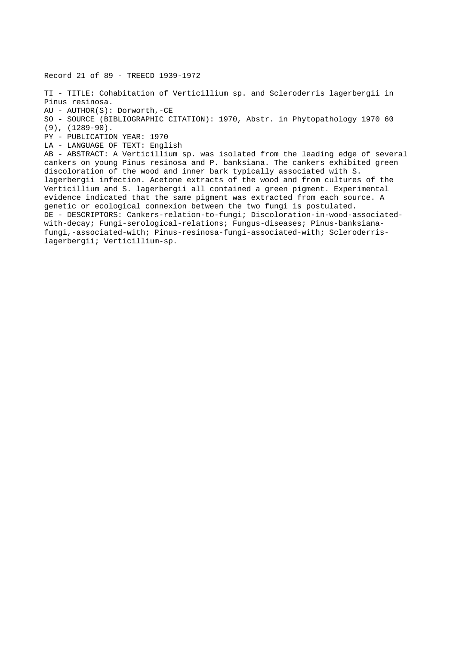Record 21 of 89 - TREECD 1939-1972

TI - TITLE: Cohabitation of Verticillium sp. and Scleroderris lagerbergii in Pinus resinosa. AU - AUTHOR(S): Dorworth,-CE SO - SOURCE (BIBLIOGRAPHIC CITATION): 1970, Abstr. in Phytopathology 1970 60 (9), (1289-90). PY - PUBLICATION YEAR: 1970 LA - LANGUAGE OF TEXT: English AB - ABSTRACT: A Verticillium sp. was isolated from the leading edge of several cankers on young Pinus resinosa and P. banksiana. The cankers exhibited green discoloration of the wood and inner bark typically associated with S. lagerbergii infection. Acetone extracts of the wood and from cultures of the Verticillium and S. lagerbergii all contained a green pigment. Experimental evidence indicated that the same pigment was extracted from each source. A genetic or ecological connexion between the two fungi is postulated. DE - DESCRIPTORS: Cankers-relation-to-fungi; Discoloration-in-wood-associatedwith-decay; Fungi-serological-relations; Fungus-diseases; Pinus-banksianafungi,-associated-with; Pinus-resinosa-fungi-associated-with; Scleroderrislagerbergii; Verticillium-sp.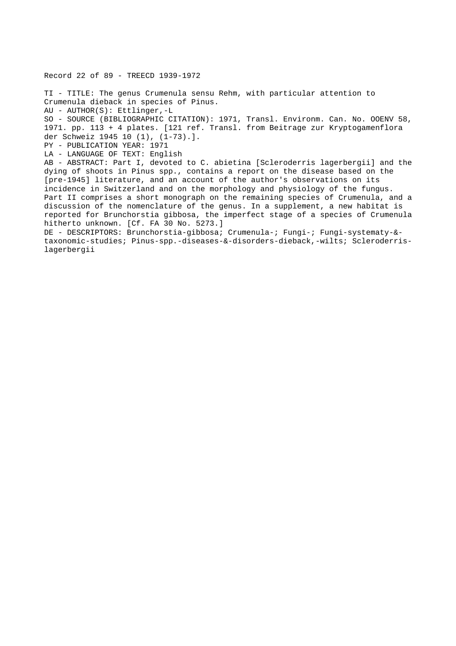Record 22 of 89 - TREECD 1939-1972 TI - TITLE: The genus Crumenula sensu Rehm, with particular attention to Crumenula dieback in species of Pinus. AU - AUTHOR(S): Ettlinger,-L SO - SOURCE (BIBLIOGRAPHIC CITATION): 1971, Transl. Environm. Can. No. OOENV 58, 1971. pp. 113 + 4 plates. [121 ref. Transl. from Beitrage zur Kryptogamenflora der Schweiz 1945 10 (1), (1-73).]. PY - PUBLICATION YEAR: 1971 LA - LANGUAGE OF TEXT: English AB - ABSTRACT: Part I, devoted to C. abietina [Scleroderris lagerbergii] and the dying of shoots in Pinus spp., contains a report on the disease based on the [pre-1945] literature, and an account of the author's observations on its incidence in Switzerland and on the morphology and physiology of the fungus. Part II comprises a short monograph on the remaining species of Crumenula, and a discussion of the nomenclature of the genus. In a supplement, a new habitat is reported for Brunchorstia gibbosa, the imperfect stage of a species of Crumenula hitherto unknown. [Cf. FA 30 No. 5273.] DE - DESCRIPTORS: Brunchorstia-gibbosa; Crumenula-; Fungi-; Fungi-systematy-& taxonomic-studies; Pinus-spp.-diseases-&-disorders-dieback,-wilts; Scleroderrislagerbergii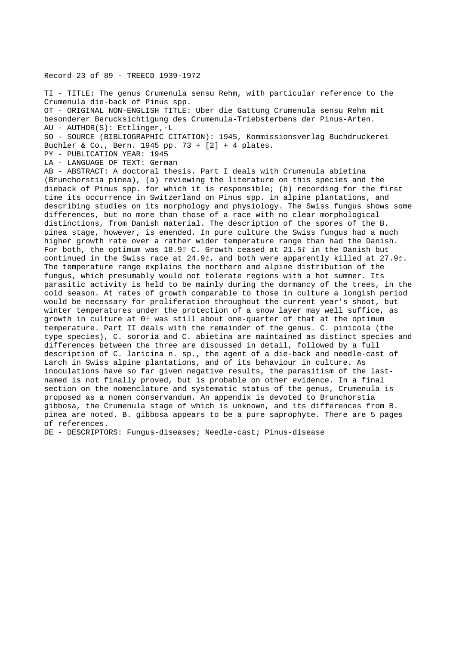## Record 23 of 89 - TREECD 1939-1972

TI - TITLE: The genus Crumenula sensu Rehm, with particular reference to the Crumenula die-back of Pinus spp. OT - ORIGINAL NON-ENGLISH TITLE: Uber die Gattung Crumenula sensu Rehm mit besonderer Berucksichtigung des Crumenula-Triebsterbens der Pinus-Arten. AU - AUTHOR(S): Ettlinger,-L SO - SOURCE (BIBLIOGRAPHIC CITATION): 1945, Kommissionsverlag Buchdruckerei

Buchler & Co., Bern. 1945 pp. 73 + [2] + 4 plates.

PY - PUBLICATION YEAR: 1945

LA - LANGUAGE OF TEXT: German

AB - ABSTRACT: A doctoral thesis. Part I deals with Crumenula abietina (Brunchorstia pinea), (a) reviewing the literature on this species and the dieback of Pinus spp. for which it is responsible; (b) recording for the first time its occurrence in Switzerland on Pinus spp. in alpine plantations, and describing studies on its morphology and physiology. The Swiss fungus shows some differences, but no more than those of a race with no clear morphological distinctions, from Danish material. The description of the spores of the B. pinea stage, however, is emended. In pure culture the Swiss fungus had a much higher growth rate over a rather wider temperature range than had the Danish. For both, the optimum was 18.9ř C. Growth ceased at 21.5ř in the Danish but continued in the Swiss race at 24.9ř, and both were apparently killed at 27.9ř. The temperature range explains the northern and alpine distribution of the fungus, which presumably would not tolerate regions with a hot summer. Its parasitic activity is held to be mainly during the dormancy of the trees, in the cold season. At rates of growth comparable to those in culture a longish period would be necessary for proliferation throughout the current year's shoot, but winter temperatures under the protection of a snow layer may well suffice, as growth in culture at 0ř was still about one-quarter of that at the optimum temperature. Part II deals with the remainder of the genus. C. pinicola (the type species), C. sororia and C. abietina are maintained as distinct species and differences between the three are discussed in detail, followed by a full description of C. laricina n. sp., the agent of a die-back and needle-cast of Larch in Swiss alpine plantations, and of its behaviour in culture. As inoculations have so far given negative results, the parasitism of the lastnamed is not finally proved, but is probable on other evidence. In a final section on the nomenclature and systematic status of the genus, Crumenula is proposed as a nomen conservandum. An appendix is devoted to Brunchorstia gibbosa, the Crumenula stage of which is unknown, and its differences from B. pinea are noted. B. gibbosa appears to be a pure saprophyte. There are 5 pages of references.

DE - DESCRIPTORS: Fungus-diseases; Needle-cast; Pinus-disease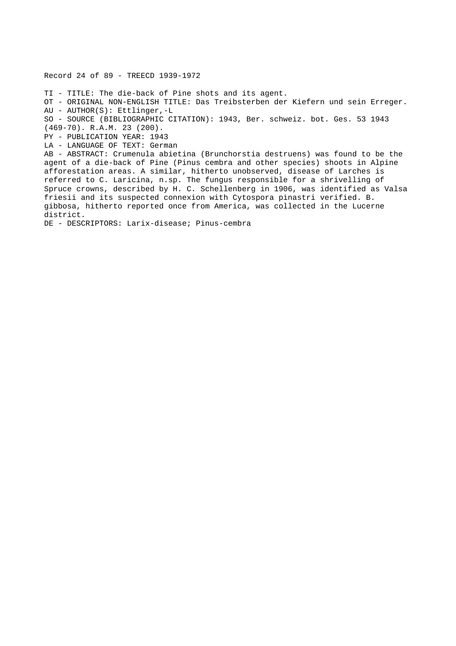Record 24 of 89 - TREECD 1939-1972

TI - TITLE: The die-back of Pine shots and its agent.

OT - ORIGINAL NON-ENGLISH TITLE: Das Treibsterben der Kiefern und sein Erreger. AU - AUTHOR(S): Ettlinger,-L

SO - SOURCE (BIBLIOGRAPHIC CITATION): 1943, Ber. schweiz. bot. Ges. 53 1943

(469-70). R.A.M. 23 (200).

PY - PUBLICATION YEAR: 1943

LA - LANGUAGE OF TEXT: German

AB - ABSTRACT: Crumenula abietina (Brunchorstia destruens) was found to be the agent of a die-back of Pine (Pinus cembra and other species) shoots in Alpine afforestation areas. A similar, hitherto unobserved, disease of Larches is referred to C. Laricina, n.sp. The fungus responsible for a shrivelling of Spruce crowns, described by H. C. Schellenberg in 1906, was identified as Valsa friesii and its suspected connexion with Cytospora pinastri verified. B. gibbosa, hitherto reported once from America, was collected in the Lucerne district.

DE - DESCRIPTORS: Larix-disease; Pinus-cembra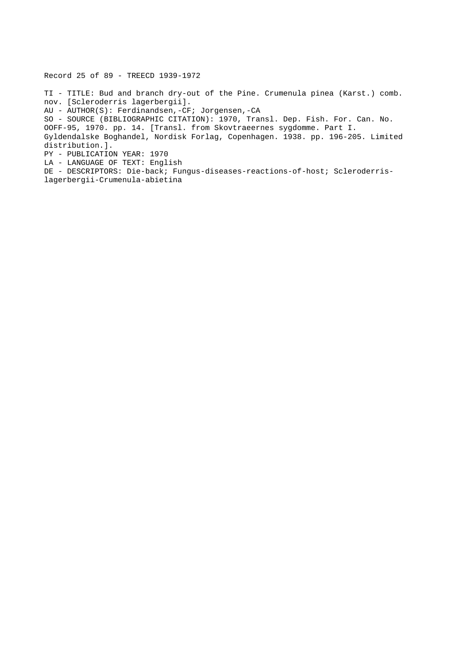Record 25 of 89 - TREECD 1939-1972

TI - TITLE: Bud and branch dry-out of the Pine. Crumenula pinea (Karst.) comb. nov. [Scleroderris lagerbergii]. AU - AUTHOR(S): Ferdinandsen,-CF; Jorgensen,-CA SO - SOURCE (BIBLIOGRAPHIC CITATION): 1970, Transl. Dep. Fish. For. Can. No. OOFF-95, 1970. pp. 14. [Transl. from Skovtraeernes sygdomme. Part I. Gyldendalske Boghandel, Nordisk Forlag, Copenhagen. 1938. pp. 196-205. Limited distribution.]. PY - PUBLICATION YEAR: 1970 LA - LANGUAGE OF TEXT: English DE - DESCRIPTORS: Die-back; Fungus-diseases-reactions-of-host; Scleroderrislagerbergii-Crumenula-abietina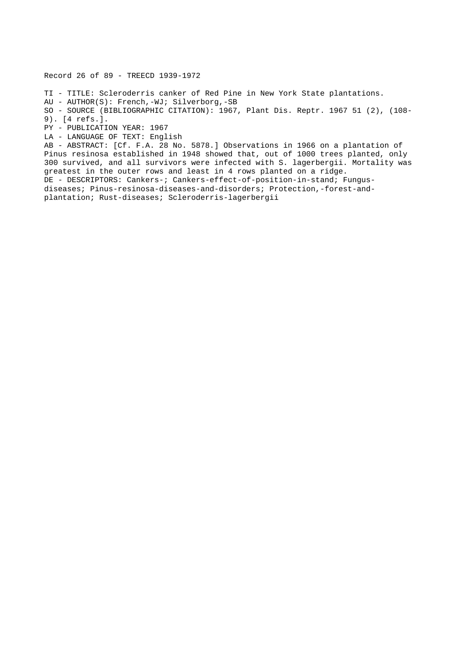Record 26 of 89 - TREECD 1939-1972

TI - TITLE: Scleroderris canker of Red Pine in New York State plantations. AU - AUTHOR(S): French,-WJ; Silverborg,-SB SO - SOURCE (BIBLIOGRAPHIC CITATION): 1967, Plant Dis. Reptr. 1967 51 (2), (108- 9). [4 refs.]. PY - PUBLICATION YEAR: 1967 LA - LANGUAGE OF TEXT: English AB - ABSTRACT: [Cf. F.A. 28 No. 5878.] Observations in 1966 on a plantation of Pinus resinosa established in 1948 showed that, out of 1000 trees planted, only 300 survived, and all survivors were infected with S. lagerbergii. Mortality was

greatest in the outer rows and least in 4 rows planted on a ridge. DE - DESCRIPTORS: Cankers-; Cankers-effect-of-position-in-stand; Fungusdiseases; Pinus-resinosa-diseases-and-disorders; Protection,-forest-andplantation; Rust-diseases; Scleroderris-lagerbergii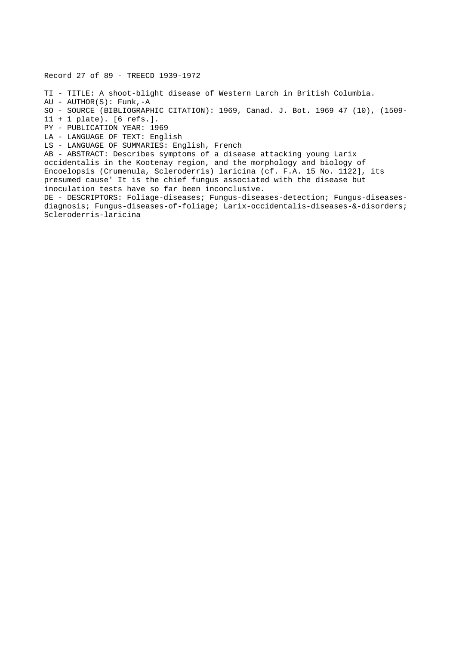Record 27 of 89 - TREECD 1939-1972

- TI TITLE: A shoot-blight disease of Western Larch in British Columbia.
- $AU AUTHOR(S): Funk, -A$
- SO SOURCE (BIBLIOGRAPHIC CITATION): 1969, Canad. J. Bot. 1969 47 (10), (1509-
- 11 + 1 plate). [6 refs.].
- PY PUBLICATION YEAR: 1969
- LA LANGUAGE OF TEXT: English
- LS LANGUAGE OF SUMMARIES: English, French

AB - ABSTRACT: Describes symptoms of a disease attacking young Larix occidentalis in the Kootenay region, and the morphology and biology of Encoelopsis (Crumenula, Scleroderris) laricina (cf. F.A. 15 No. 1122], its presumed cause' It is the chief fungus associated with the disease but inoculation tests have so far been inconclusive.

DE - DESCRIPTORS: Foliage-diseases; Fungus-diseases-detection; Fungus-diseasesdiagnosis; Fungus-diseases-of-foliage; Larix-occidentalis-diseases-&-disorders; Scleroderris-laricina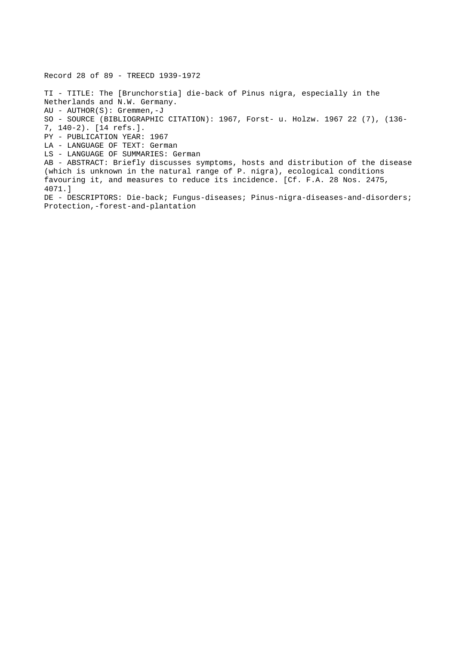Record 28 of 89 - TREECD 1939-1972 TI - TITLE: The [Brunchorstia] die-back of Pinus nigra, especially in the Netherlands and N.W. Germany. AU - AUTHOR(S): Gremmen,-J SO - SOURCE (BIBLIOGRAPHIC CITATION): 1967, Forst- u. Holzw. 1967 22 (7), (136- 7, 140-2). [14 refs.]. PY - PUBLICATION YEAR: 1967 LA - LANGUAGE OF TEXT: German LS - LANGUAGE OF SUMMARIES: German AB - ABSTRACT: Briefly discusses symptoms, hosts and distribution of the disease (which is unknown in the natural range of P. nigra), ecological conditions favouring it, and measures to reduce its incidence. [Cf. F.A. 28 Nos. 2475, 4071.] DE - DESCRIPTORS: Die-back; Fungus-diseases; Pinus-nigra-diseases-and-disorders; Protection,-forest-and-plantation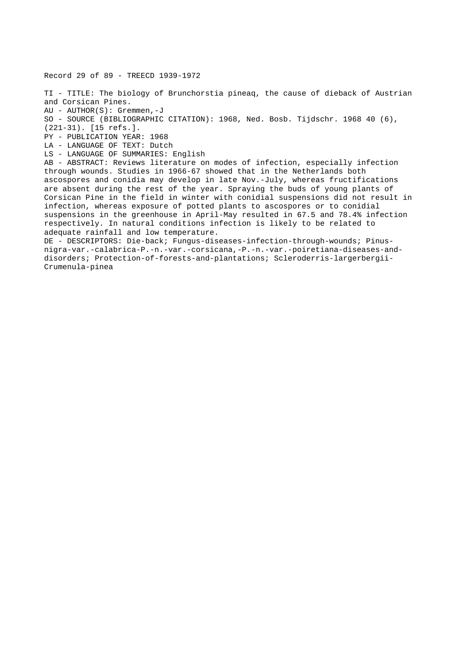Record 29 of 89 - TREECD 1939-1972

TI - TITLE: The biology of Brunchorstia pineaq, the cause of dieback of Austrian and Corsican Pines. AU - AUTHOR(S): Gremmen,-J SO - SOURCE (BIBLIOGRAPHIC CITATION): 1968, Ned. Bosb. Tijdschr. 1968 40 (6), (221-31). [15 refs.]. PY - PUBLICATION YEAR: 1968 LA - LANGUAGE OF TEXT: Dutch LS - LANGUAGE OF SUMMARIES: English AB - ABSTRACT: Reviews literature on modes of infection, especially infection through wounds. Studies in 1966-67 showed that in the Netherlands both ascospores and conidia may develop in late Nov.-July, whereas fructifications are absent during the rest of the year. Spraying the buds of young plants of Corsican Pine in the field in winter with conidial suspensions did not result in infection, whereas exposure of potted plants to ascospores or to conidial suspensions in the greenhouse in April-May resulted in 67.5 and 78.4% infection respectively. In natural conditions infection is likely to be related to adequate rainfall and low temperature. DE - DESCRIPTORS: Die-back; Fungus-diseases-infection-through-wounds; Pinusnigra-var.-calabrica-P.-n.-var.-corsicana,-P.-n.-var.-poiretiana-diseases-anddisorders; Protection-of-forests-and-plantations; Scleroderris-largerbergii-Crumenula-pinea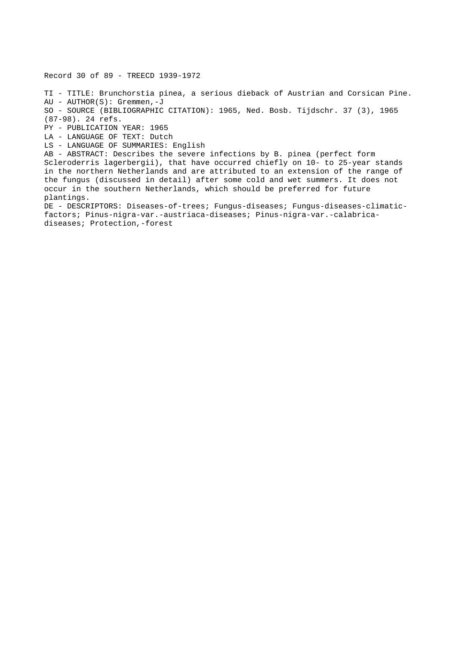Record 30 of 89 - TREECD 1939-1972

TI - TITLE: Brunchorstia pinea, a serious dieback of Austrian and Corsican Pine. AU - AUTHOR(S): Gremmen,-J SO - SOURCE (BIBLIOGRAPHIC CITATION): 1965, Ned. Bosb. Tijdschr. 37 (3), 1965 (87-98). 24 refs. PY - PUBLICATION YEAR: 1965 LA - LANGUAGE OF TEXT: Dutch LS - LANGUAGE OF SUMMARIES: English AB - ABSTRACT: Describes the severe infections by B. pinea (perfect form Scleroderris lagerbergii), that have occurred chiefly on 10- to 25-year stands in the northern Netherlands and are attributed to an extension of the range of the fungus (discussed in detail) after some cold and wet summers. It does not occur in the southern Netherlands, which should be preferred for future

plantings.

DE - DESCRIPTORS: Diseases-of-trees; Fungus-diseases; Fungus-diseases-climaticfactors; Pinus-nigra-var.-austriaca-diseases; Pinus-nigra-var.-calabricadiseases; Protection,-forest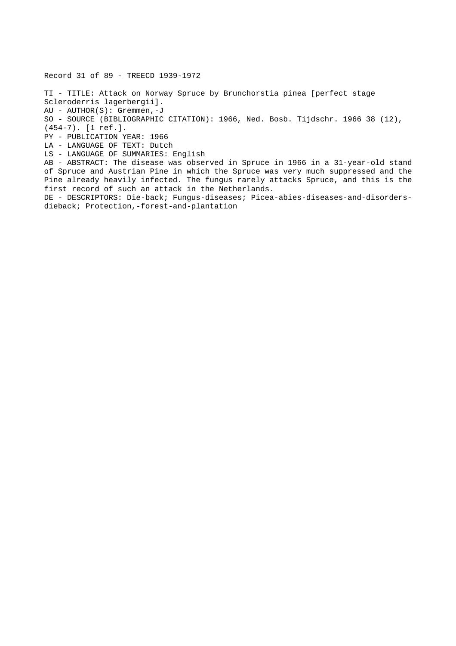Record 31 of 89 - TREECD 1939-1972 TI - TITLE: Attack on Norway Spruce by Brunchorstia pinea [perfect stage Scleroderris lagerbergii]. AU - AUTHOR(S): Gremmen,-J SO - SOURCE (BIBLIOGRAPHIC CITATION): 1966, Ned. Bosb. Tijdschr. 1966 38 (12), (454-7). [1 ref.]. PY - PUBLICATION YEAR: 1966 LA - LANGUAGE OF TEXT: Dutch LS - LANGUAGE OF SUMMARIES: English AB - ABSTRACT: The disease was observed in Spruce in 1966 in a 31-year-old stand of Spruce and Austrian Pine in which the Spruce was very much suppressed and the Pine already heavily infected. The fungus rarely attacks Spruce, and this is the first record of such an attack in the Netherlands. DE - DESCRIPTORS: Die-back; Fungus-diseases; Picea-abies-diseases-and-disordersdieback; Protection,-forest-and-plantation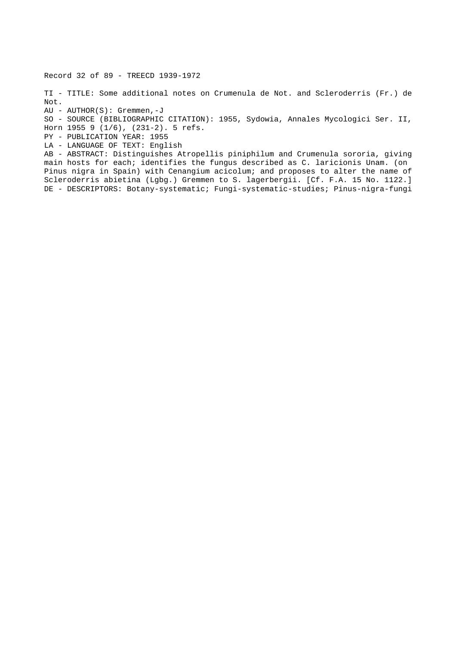Record 32 of 89 - TREECD 1939-1972

TI - TITLE: Some additional notes on Crumenula de Not. and Scleroderris (Fr.) de Not.

AU - AUTHOR(S): Gremmen,-J

SO - SOURCE (BIBLIOGRAPHIC CITATION): 1955, Sydowia, Annales Mycologici Ser. II, Horn 1955 9 (1/6), (231-2). 5 refs.

PY - PUBLICATION YEAR: 1955

LA - LANGUAGE OF TEXT: English

AB - ABSTRACT: Distinguishes Atropellis piniphilum and Crumenula sororia, giving main hosts for each; identifies the fungus described as C. laricionis Unam. (on Pinus nigra in Spain) with Cenangium acicolum; and proposes to alter the name of Scleroderris abietina (Lgbg.) Gremmen to S. lagerbergii. [Cf. F.A. 15 No. 1122.] DE - DESCRIPTORS: Botany-systematic; Fungi-systematic-studies; Pinus-nigra-fungi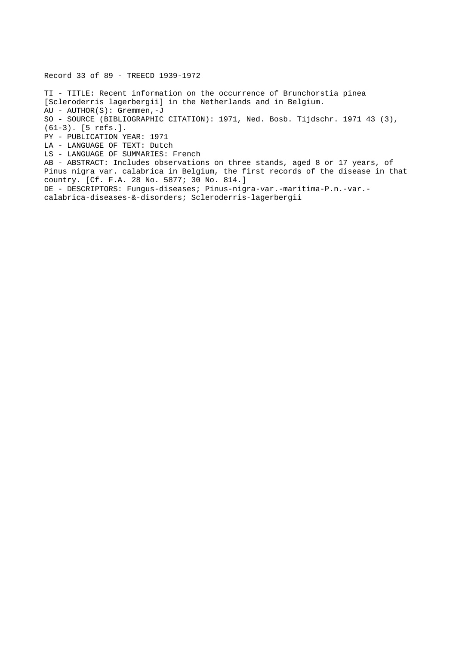Record 33 of 89 - TREECD 1939-1972 TI - TITLE: Recent information on the occurrence of Brunchorstia pinea [Scleroderris lagerbergii] in the Netherlands and in Belgium. AU - AUTHOR(S): Gremmen,-J SO - SOURCE (BIBLIOGRAPHIC CITATION): 1971, Ned. Bosb. Tijdschr. 1971 43 (3), (61-3). [5 refs.]. PY - PUBLICATION YEAR: 1971 LA - LANGUAGE OF TEXT: Dutch LS - LANGUAGE OF SUMMARIES: French AB - ABSTRACT: Includes observations on three stands, aged 8 or 17 years, of Pinus nigra var. calabrica in Belgium, the first records of the disease in that country. [Cf. F.A. 28 No. 5877; 30 No. 814.] DE - DESCRIPTORS: Fungus-diseases; Pinus-nigra-var.-maritima-P.n.-var. calabrica-diseases-&-disorders; Scleroderris-lagerbergii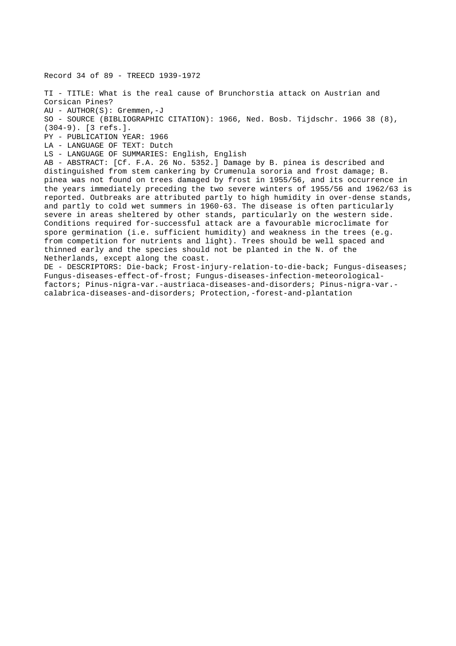Record 34 of 89 - TREECD 1939-1972 TI - TITLE: What is the real cause of Brunchorstia attack on Austrian and Corsican Pines? AU - AUTHOR(S): Gremmen,-J SO - SOURCE (BIBLIOGRAPHIC CITATION): 1966, Ned. Bosb. Tijdschr. 1966 38 (8), (304-9). [3 refs.]. PY - PUBLICATION YEAR: 1966 LA - LANGUAGE OF TEXT: Dutch LS - LANGUAGE OF SUMMARIES: English, English AB - ABSTRACT: [Cf. F.A. 26 No. 5352.] Damage by B. pinea is described and distinguished from stem cankering by Crumenula sororia and frost damage; B. pinea was not found on trees damaged by frost in 1955/56, and its occurrence in the years immediately preceding the two severe winters of 1955/56 and 1962/63 is reported. Outbreaks are attributed partly to high humidity in over-dense stands, and partly to cold wet summers in 1960-63. The disease is often particularly severe in areas sheltered by other stands, particularly on the western side. Conditions required for-successful attack are a favourable microclimate for spore germination (i.e. sufficient humidity) and weakness in the trees (e.g. from competition for nutrients and light). Trees should be well spaced and thinned early and the species should not be planted in the N. of the Netherlands, except along the coast. DE - DESCRIPTORS: Die-back; Frost-injury-relation-to-die-back; Fungus-diseases; Fungus-diseases-effect-of-frost; Fungus-diseases-infection-meteorologicalfactors; Pinus-nigra-var.-austriaca-diseases-and-disorders; Pinus-nigra-var.-

calabrica-diseases-and-disorders; Protection,-forest-and-plantation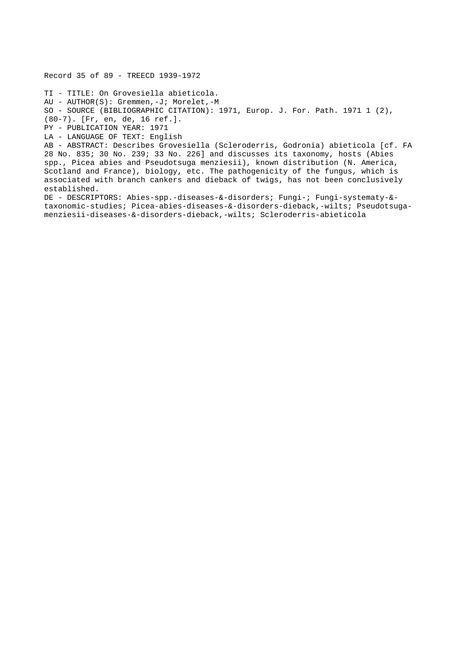TI - TITLE: On Grovesiella abieticola. AU - AUTHOR(S): Gremmen,-J; Morelet,-M SO - SOURCE (BIBLIOGRAPHIC CITATION): 1971, Europ. J. For. Path. 1971 1 (2), (80-7). [Fr, en, de, 16 ref.]. PY - PUBLICATION YEAR: 1971 LA - LANGUAGE OF TEXT: English AB - ABSTRACT: Describes Grovesiella (Scleroderris, Godronia) abieticola [cf. FA 28 No. 835; 30 No. 239; 33 No. 226] and discusses its taxonomy, hosts (Abies spp., Picea abies and Pseudotsuga menziesii), known distribution (N. America, Scotland and France), biology, etc. The pathogenicity of the fungus, which is associated with branch cankers and dieback of twigs, has not been conclusively established. DE - DESCRIPTORS: Abies-spp.-diseases-&-disorders; Fungi-; Fungi-systematy-& taxonomic-studies; Picea-abies-diseases-&-disorders-dieback,-wilts; Pseudotsuga-

menziesii-diseases-&-disorders-dieback,-wilts; Scleroderris-abieticola

Record 35 of 89 - TREECD 1939-1972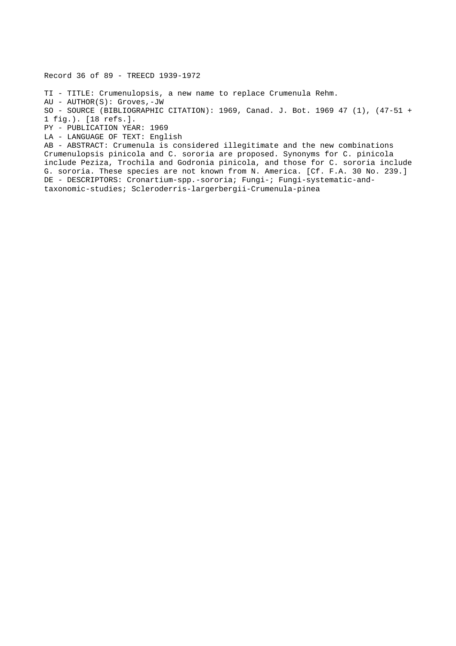Record 36 of 89 - TREECD 1939-1972

TI - TITLE: Crumenulopsis, a new name to replace Crumenula Rehm. AU - AUTHOR(S): Groves,-JW SO - SOURCE (BIBLIOGRAPHIC CITATION): 1969, Canad. J. Bot. 1969 47 (1), (47-51 + 1 fig.). [18 refs.]. PY - PUBLICATION YEAR: 1969 LA - LANGUAGE OF TEXT: English AB - ABSTRACT: Crumenula is considered illegitimate and the new combinations Crumenulopsis pinicola and C. sororia are proposed. Synonyms for C. pinicola

include Peziza, Trochila and Godronia pinicola, and those for C. sororia include G. sororia. These species are not known from N. America. [Cf. F.A. 30 No. 239.] DE - DESCRIPTORS: Cronartium-spp.-sororia; Fungi-; Fungi-systematic-andtaxonomic-studies; Scleroderris-largerbergii-Crumenula-pinea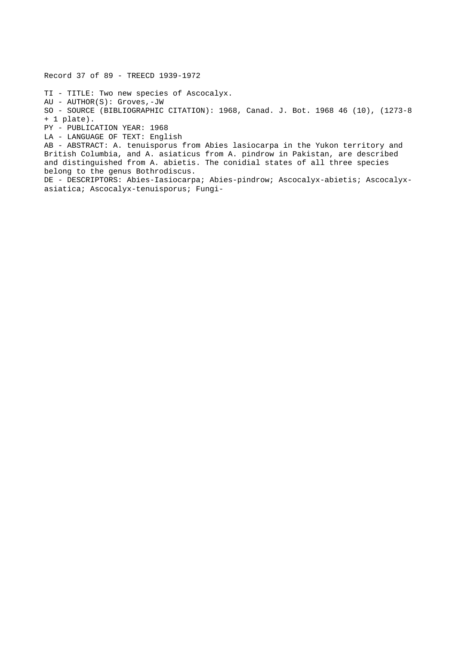Record 37 of 89 - TREECD 1939-1972

TI - TITLE: Two new species of Ascocalyx. AU - AUTHOR(S): Groves,-JW SO - SOURCE (BIBLIOGRAPHIC CITATION): 1968, Canad. J. Bot. 1968 46 (10), (1273-8 + 1 plate). PY - PUBLICATION YEAR: 1968 LA - LANGUAGE OF TEXT: English AB - ABSTRACT: A. tenuisporus from Abies lasiocarpa in the Yukon territory and British Columbia, and A. asiaticus from A. pindrow in Pakistan, are described and distinguished from A. abietis. The conidial states of all three species

belong to the genus Bothrodiscus. DE - DESCRIPTORS: Abies-Iasiocarpa; Abies-pindrow; Ascocalyx-abietis; Ascocalyxasiatica; Ascocalyx-tenuisporus; Fungi-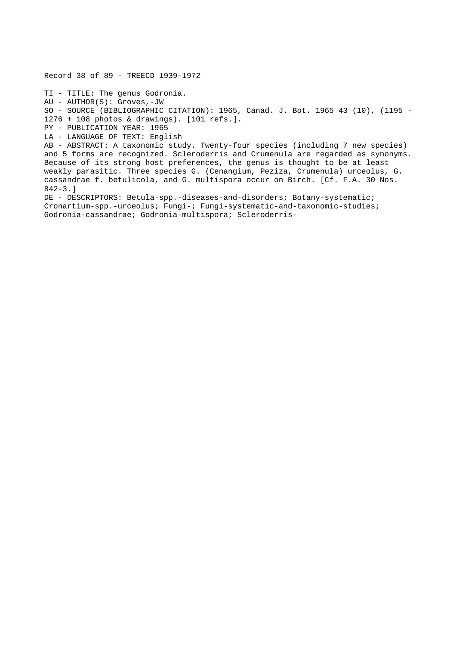Record 38 of 89 - TREECD 1939-1972 TI - TITLE: The genus Godronia. AU - AUTHOR(S): Groves,-JW SO - SOURCE (BIBLIOGRAPHIC CITATION): 1965, Canad. J. Bot. 1965 43 (10), (1195 - 1276 + 108 photos & drawings). [101 refs.]. PY - PUBLICATION YEAR: 1965 LA - LANGUAGE OF TEXT: English AB - ABSTRACT: A taxonomic study. Twenty-four species (including 7 new species) and 5 forms are recognized. Scleroderris and Crumenula are regarded as synonyms. Because of its strong host preferences, the genus is thought to be at least weakly parasitic. Three species G. (Cenangium, Peziza, Crumenula) urceolus, G. cassandrae f. betulicola, and G. multispora occur on Birch. [Cf. F.A. 30 Nos. 842-3.] DE - DESCRIPTORS: Betula-spp.-diseases-and-disorders; Botany-systematic; Cronartium-spp.-urceolus; Fungi-; Fungi-systematic-and-taxonomic-studies;

Godronia-cassandrae; Godronia-multispora; Scleroderris-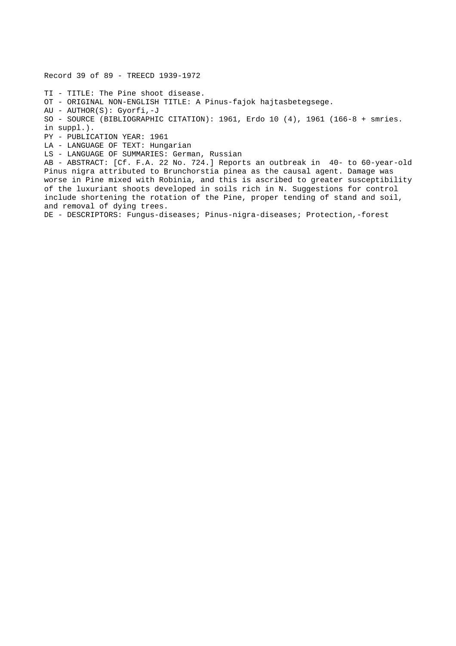Record 39 of 89 - TREECD 1939-1972 TI - TITLE: The Pine shoot disease. OT - ORIGINAL NON-ENGLISH TITLE: A Pinus-fajok hajtasbetegsege. AU - AUTHOR(S): Gyorfi,-J SO - SOURCE (BIBLIOGRAPHIC CITATION): 1961, Erdo 10 (4), 1961 (166-8 + smries. in suppl.). PY - PUBLICATION YEAR: 1961 LA - LANGUAGE OF TEXT: Hungarian LS - LANGUAGE OF SUMMARIES: German, Russian AB - ABSTRACT: [Cf. F.A. 22 No. 724.] Reports an outbreak in 40- to 60-year-old Pinus nigra attributed to Brunchorstia pinea as the causal agent. Damage was worse in Pine mixed with Robinia, and this is ascribed to greater susceptibility of the luxuriant shoots developed in soils rich in N. Suggestions for control include shortening the rotation of the Pine, proper tending of stand and soil, and removal of dying trees. DE - DESCRIPTORS: Fungus-diseases; Pinus-nigra-diseases; Protection,-forest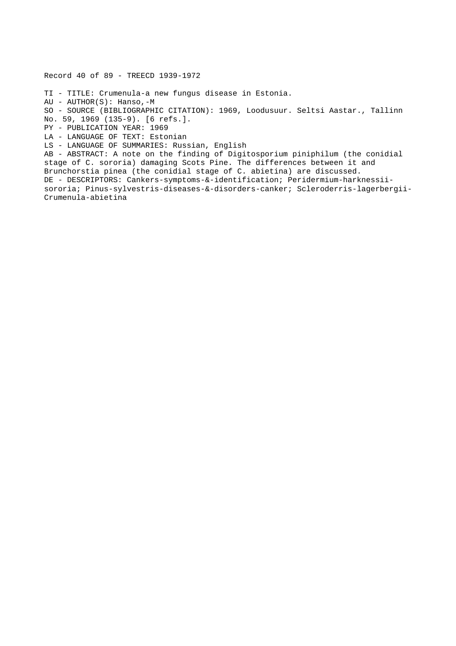Record 40 of 89 - TREECD 1939-1972 TI - TITLE: Crumenula-a new fungus disease in Estonia. AU - AUTHOR(S): Hanso,-M SO - SOURCE (BIBLIOGRAPHIC CITATION): 1969, Loodusuur. Seltsi Aastar., Tallinn No. 59, 1969 (135-9). [6 refs.]. PY - PUBLICATION YEAR: 1969 LA - LANGUAGE OF TEXT: Estonian LS - LANGUAGE OF SUMMARIES: Russian, English AB - ABSTRACT: A note on the finding of Digitosporium piniphilum (the conidial stage of C. sororia) damaging Scots Pine. The differences between it and Brunchorstia pinea (the conidial stage of C. abietina) are discussed. DE - DESCRIPTORS: Cankers-symptoms-&-identification; Peridermium-harknessiisororia; Pinus-sylvestris-diseases-&-disorders-canker; Scleroderris-lagerbergii-Crumenula-abietina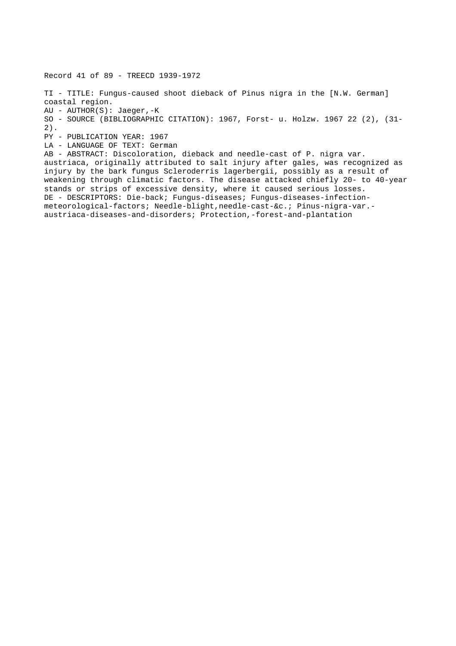Record 41 of 89 - TREECD 1939-1972 TI - TITLE: Fungus-caused shoot dieback of Pinus nigra in the [N.W. German] coastal region. AU - AUTHOR(S): Jaeger,-K SO - SOURCE (BIBLIOGRAPHIC CITATION): 1967, Forst- u. Holzw. 1967 22 (2), (31- 2). PY - PUBLICATION YEAR: 1967 LA - LANGUAGE OF TEXT: German AB - ABSTRACT: Discoloration, dieback and needle-cast of P. nigra var. austriaca, originally attributed to salt injury after gales, was recognized as injury by the bark fungus Scleroderris lagerbergii, possibly as a result of weakening through climatic factors. The disease attacked chiefly 20- to 40-year stands or strips of excessive density, where it caused serious losses. DE - DESCRIPTORS: Die-back; Fungus-diseases; Fungus-diseases-infectionmeteorological-factors; Needle-blight,needle-cast-&c.; Pinus-nigra-var. austriaca-diseases-and-disorders; Protection,-forest-and-plantation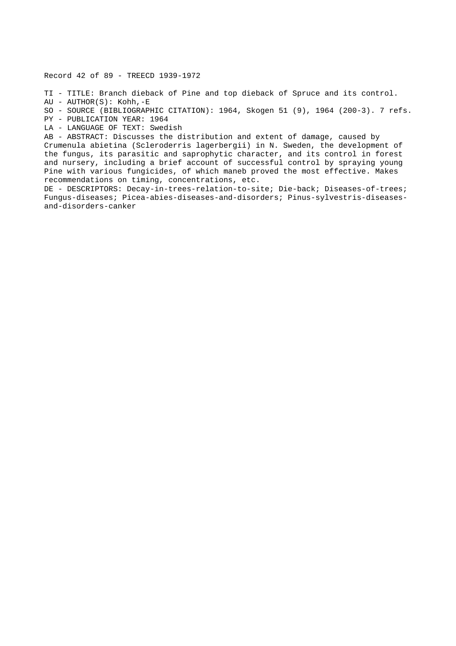Record 42 of 89 - TREECD 1939-1972

TI - TITLE: Branch dieback of Pine and top dieback of Spruce and its control.

AU - AUTHOR(S): Kohh,-E

SO - SOURCE (BIBLIOGRAPHIC CITATION): 1964, Skogen 51 (9), 1964 (200-3). 7 refs.

PY - PUBLICATION YEAR: 1964

LA - LANGUAGE OF TEXT: Swedish

AB - ABSTRACT: Discusses the distribution and extent of damage, caused by Crumenula abietina (Scleroderris lagerbergii) in N. Sweden, the development of the fungus, its parasitic and saprophytic character, and its control in forest and nursery, including a brief account of successful control by spraying young Pine with various fungicides, of which maneb proved the most effective. Makes recommendations on timing, concentrations, etc.

DE - DESCRIPTORS: Decay-in-trees-relation-to-site; Die-back; Diseases-of-trees; Fungus-diseases; Picea-abies-diseases-and-disorders; Pinus-sylvestris-diseasesand-disorders-canker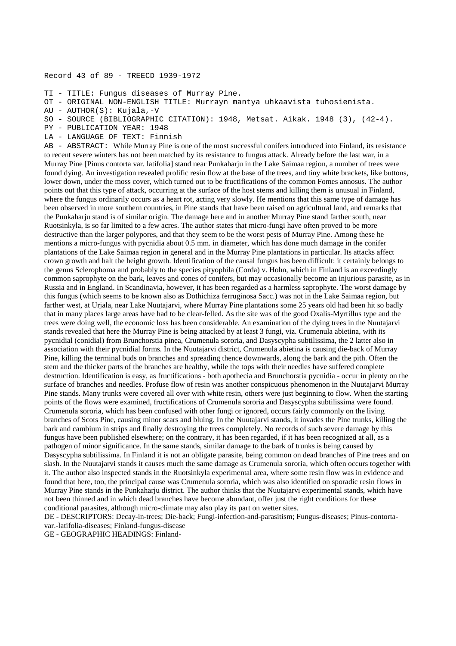## Record 43 of 89 - TREECD 1939-1972

TI - TITLE: Fungus diseases of Murray Pine.

OT - ORIGINAL NON-ENGLISH TITLE: Murrayn mantya uhkaavista tuhosienista.

```
AU - AUTHOR(S): Kujala,-V
```
SO - SOURCE (BIBLIOGRAPHIC CITATION): 1948, Metsat. Aikak. 1948 (3), (42-4).

PY - PUBLICATION YEAR: 1948

LA - LANGUAGE OF TEXT: Finnish

AB - ABSTRACT: While Murray Pine is one of the most successful conifers introduced into Finland, its resistance to recent severe winters has not been matched by its resistance to fungus attack. Already before the last war, in a Murray Pine [Pinus contorta var. latifolia] stand near Punkaharju in the Lake Saimaa region, a number of trees were found dying. An investigation revealed prolific resin flow at the base of the trees, and tiny white brackets, like buttons, lower down, under the moss cover, which turned out to be fructifications of the common Fomes annosus. The author points out that this type of attack, occurring at the surface of the host stems and killing them is unusual in Finland, where the fungus ordinarily occurs as a heart rot, acting very slowly. He mentions that this same type of damage has been observed in more southern countries, in Pine stands that have been raised on agricultural land, and remarks that the Punkaharju stand is of similar origin. The damage here and in another Murray Pine stand farther south, near Ruotsinkyla, is so far limited to a few acres. The author states that micro-fungi have often proved to be more destructive than the larger polypores, and that they seem to be the worst pests of Murray Pine. Among these he mentions a micro-fungus with pycnidia about 0.5 mm. in diameter, which has done much damage in the conifer plantations of the Lake Saimaa region in general and in the Murray Pine plantations in particular. Its attacks affect crown growth and halt the height growth. Identification of the causal fungus has been difficult: it certainly belongs to the genus Sclerophoma and probably to the species pityophila (Corda) v. Hohn, which in Finland is an exceedingly common saprophyte on the bark, leaves and cones of conifers, but may occasionally become an injurious parasite, as in Russia and in England. In Scandinavia, however, it has been regarded as a harmless saprophyte. The worst damage by this fungus (which seems to be known also as Dothichiza ferruginosa Sacc.) was not in the Lake Saimaa region, but farther west, at Urjala, near Lake Nuutajarvi, where Murray Pine plantations some 25 years old had been hit so badly that in many places large areas have had to be clear-felled. As the site was of the good Oxalis-Myrtillus type and the trees were doing well, the economic loss has been considerable. An examination of the dying trees in the Nuutajarvi stands revealed that here the Murray Pine is being attacked by at least 3 fungi, viz. Crumenula abietina, with its pycnidial (conidial) from Brunchorstia pinea, Crumenula sororia, and Dasyscypha subtilissima, the 2 latter also in association with their pycnidial forms. In the Nuutajarvi district, Crumenula abietina is causing die-back of Murray Pine, killing the terminal buds on branches and spreading thence downwards, along the bark and the pith. Often the stem and the thicker parts of the branches are healthy, while the tops with their needles have suffered complete destruction. Identification is easy, as fructifications - both apothecia and Brunchorstia pycnidia - occur in plenty on the surface of branches and needles. Profuse flow of resin was another conspicuous phenomenon in the Nuutajarvi Murray Pine stands. Many trunks were covered all over with white resin, others were just beginning to flow. When the starting points of the flows were examined, fructifications of Crumenula sororia and Dasyscypha subtilissima were found. Crumenula sororia, which has been confused with other fungi or ignored, occurs fairly commonly on the living branches of Scots Pine, causing minor scars and bluing. In the Nuutajarvi stands, it invades the Pine trunks, killing the bark and cambium in strips and finally destroying the trees completely. No records of such severe damage by this fungus have been published elsewhere; on the contrary, it has been regarded, if it has been recognized at all, as a pathogen of minor significance. In the same stands, similar damage to the bark of trunks is being caused by Dasyscypha subtilissima. In Finland it is not an obligate parasite, being common on dead branches of Pine trees and on slash. In the Nuutajarvi stands it causes much the same damage as Crumenula sororia, which often occurs together with it. The author also inspected stands in the Ruotsinkyla experimental area, where some resin flow was in evidence and found that here, too, the principal cause was Crumenula sororia, which was also identified on sporadic resin flows in Murray Pine stands in the Punkaharju district. The author thinks that the Nuutajarvi experimental stands, which have not been thinned and in which dead branches have become abundant, offer just the right conditions for these conditional parasites, although micro-climate may also play its part on wetter sites.

DE - DESCRIPTORS: Decay-in-trees; Die-back; Fungi-infection-and-parasitism; Fungus-diseases; Pinus-contortavar.-latifolia-diseases; Finland-fungus-disease

GE - GEOGRAPHIC HEADINGS: Finland-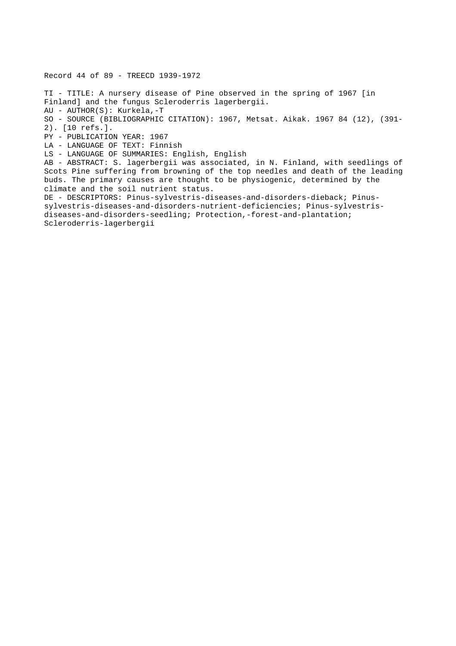Record 44 of 89 - TREECD 1939-1972 TI - TITLE: A nursery disease of Pine observed in the spring of 1967 [in Finland] and the fungus Scleroderris lagerbergii. AU - AUTHOR(S): Kurkela,-T SO - SOURCE (BIBLIOGRAPHIC CITATION): 1967, Metsat. Aikak. 1967 84 (12), (391- 2). [10 refs.]. PY - PUBLICATION YEAR: 1967 LA - LANGUAGE OF TEXT: Finnish LS - LANGUAGE OF SUMMARIES: English, English AB - ABSTRACT: S. lagerbergii was associated, in N. Finland, with seedlings of Scots Pine suffering from browning of the top needles and death of the leading buds. The primary causes are thought to be physiogenic, determined by the climate and the soil nutrient status. DE - DESCRIPTORS: Pinus-sylvestris-diseases-and-disorders-dieback; Pinussylvestris-diseases-and-disorders-nutrient-deficiencies; Pinus-sylvestrisdiseases-and-disorders-seedling; Protection,-forest-and-plantation; Scleroderris-lagerbergii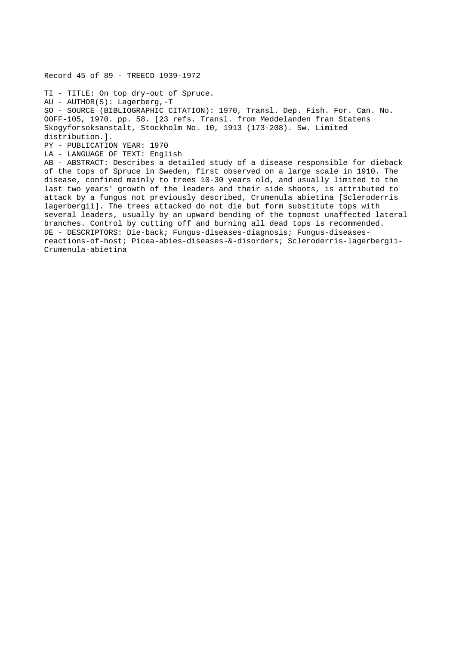TI - TITLE: On top dry-out of Spruce. AU - AUTHOR(S): Lagerberg,-T SO - SOURCE (BIBLIOGRAPHIC CITATION): 1970, Transl. Dep. Fish. For. Can. No. OOFF-105, 1970. pp. 58. [23 refs. Transl. from Meddelanden fran Statens Skogyforsoksanstalt, Stockholm No. 10, 1913 (173-208). Sw. Limited distribution.]. PY - PUBLICATION YEAR: 1970 LA - LANGUAGE OF TEXT: English AB - ABSTRACT: Describes a detailed study of a disease responsible for dieback of the tops of Spruce in Sweden, first observed on a large scale in 1910. The disease, confined mainly to trees 10-30 years old, and usually limited to the last two years' growth of the leaders and their side shoots, is attributed to attack by a fungus not previously described, Crumenula abietina [Scleroderris lagerbergii]. The trees attacked do not die but form substitute tops with several leaders, usually by an upward bending of the topmost unaffected lateral branches. Control by cutting off and burning all dead tops is recommended. DE - DESCRIPTORS: Die-back; Fungus-diseases-diagnosis; Fungus-diseasesreactions-of-host; Picea-abies-diseases-&-disorders; Scleroderris-lagerbergii-Crumenula-abietina

Record 45 of 89 - TREECD 1939-1972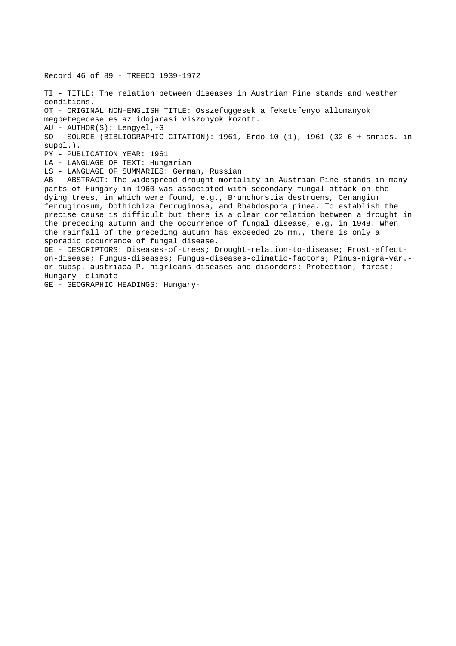Record 46 of 89 - TREECD 1939-1972 TI - TITLE: The relation between diseases in Austrian Pine stands and weather conditions. OT - ORIGINAL NON-ENGLISH TITLE: Osszefuggesek a feketefenyo allomanyok megbetegedese es az idojarasi viszonyok kozott. AU - AUTHOR(S): Lengyel,-G SO - SOURCE (BIBLIOGRAPHIC CITATION): 1961, Erdo 10 (1), 1961 (32-6 + smries. in suppl.). PY - PUBLICATION YEAR: 1961 LA - LANGUAGE OF TEXT: Hungarian LS - LANGUAGE OF SUMMARIES: German, Russian AB - ABSTRACT: The widespread drought mortality in Austrian Pine stands in many parts of Hungary in 1960 was associated with secondary fungal attack on the dying trees, in which were found, e.g., Brunchorstia destruens, Cenangium ferruginosum, Dothichiza ferruginosa, and Rhabdospora pinea. To establish the precise cause is difficult but there is a clear correlation between a drought in the preceding autumn and the occurrence of fungal disease, e.g. in 1948. When the rainfall of the preceding autumn has exceeded 25 mm., there is only a sporadic occurrence of fungal disease. DE - DESCRIPTORS: Diseases-of-trees; Drought-relation-to-disease; Frost-effecton-disease; Fungus-diseases; Fungus-diseases-climatic-factors; Pinus-nigra-var. or-subsp.-austriaca-P.-nigrlcans-diseases-and-disorders; Protection,-forest; Hungary--climate GE - GEOGRAPHIC HEADINGS: Hungary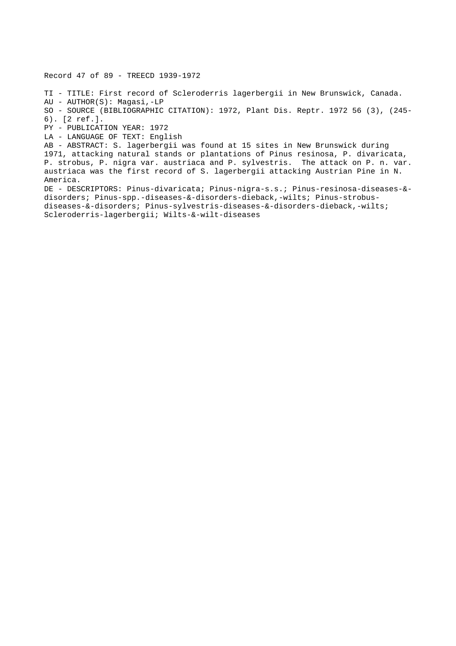Record 47 of 89 - TREECD 1939-1972

TI - TITLE: First record of Scleroderris lagerbergii in New Brunswick, Canada. AU - AUTHOR(S): Magasi,-LP SO - SOURCE (BIBLIOGRAPHIC CITATION): 1972, Plant Dis. Reptr. 1972 56 (3), (245- 6). [2 ref.]. PY - PUBLICATION YEAR: 1972 LA - LANGUAGE OF TEXT: English AB - ABSTRACT: S. lagerbergii was found at 15 sites in New Brunswick during 1971, attacking natural stands or plantations of Pinus resinosa, P. divaricata, P. strobus, P. nigra var. austriaca and P. sylvestris. The attack on P. n. var. austriaca was the first record of S. lagerbergii attacking Austrian Pine in N. America. DE - DESCRIPTORS: Pinus-divaricata; Pinus-nigra-s.s.; Pinus-resinosa-diseases-& disorders; Pinus-spp.-diseases-&-disorders-dieback,-wilts; Pinus-strobusdiseases-&-disorders; Pinus-sylvestris-diseases-&-disorders-dieback,-wilts;

Scleroderris-lagerbergii; Wilts-&-wilt-diseases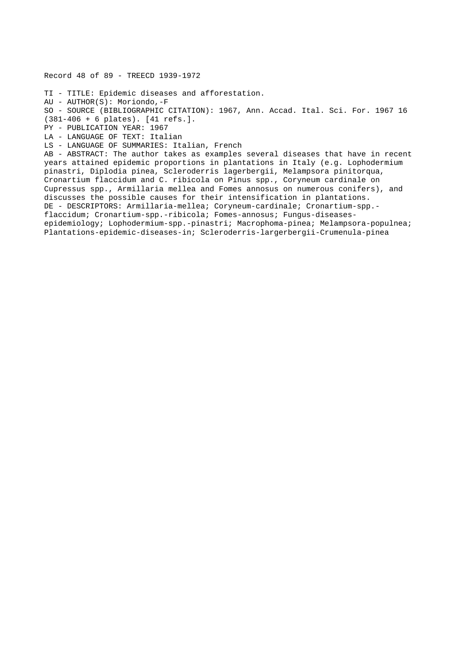Record 48 of 89 - TREECD 1939-1972

TI - TITLE: Epidemic diseases and afforestation.

AU - AUTHOR(S): Moriondo,-F

SO - SOURCE (BIBLIOGRAPHIC CITATION): 1967, Ann. Accad. Ital. Sci. For. 1967 16

(381-406 + 6 plates). [41 refs.].

PY - PUBLICATION YEAR: 1967

LA - LANGUAGE OF TEXT: Italian

LS - LANGUAGE OF SUMMARIES: Italian, French

AB - ABSTRACT: The author takes as examples several diseases that have in recent years attained epidemic proportions in plantations in Italy (e.g. Lophodermium pinastri, Diplodia pinea, Scleroderris lagerbergii, Melampsora pinitorqua, Cronartium flaccidum and C. ribicola on Pinus spp., Coryneum cardinale on Cupressus spp., Armillaria mellea and Fomes annosus on numerous conifers), and discusses the possible causes for their intensification in plantations. DE - DESCRIPTORS: Armillaria-mellea; Coryneum-cardinale; Cronartium-spp. flaccidum; Cronartium-spp.-ribicola; Fomes-annosus; Fungus-diseasesepidemiology; Lophodermium-spp.-pinastri; Macrophoma-pinea; Melampsora-populnea; Plantations-epidemic-diseases-in; Scleroderris-largerbergii-Crumenula-pinea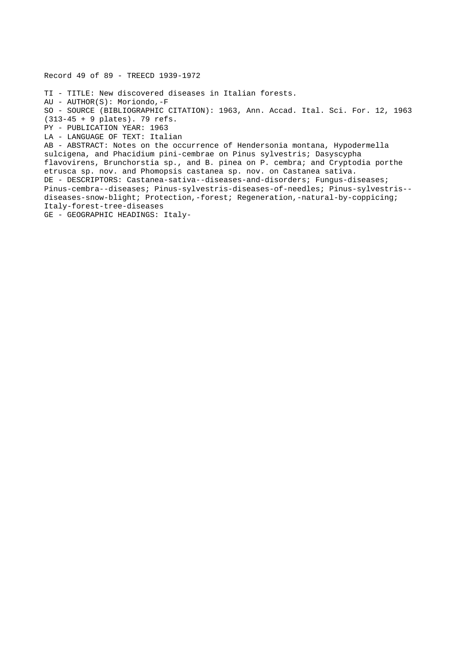Record 49 of 89 - TREECD 1939-1972 TI - TITLE: New discovered diseases in Italian forests. AU - AUTHOR(S): Moriondo,-F SO - SOURCE (BIBLIOGRAPHIC CITATION): 1963, Ann. Accad. Ital. Sci. For. 12, 1963 (313-45 + 9 plates). 79 refs. PY - PUBLICATION YEAR: 1963 LA - LANGUAGE OF TEXT: Italian AB - ABSTRACT: Notes on the occurrence of Hendersonia montana, Hypodermella sulcigena, and Phacidium pini-cembrae on Pinus sylvestris; Dasyscypha flavovirens, Brunchorstia sp., and B. pinea on P. cembra; and Cryptodia porthe etrusca sp. nov. and Phomopsis castanea sp. nov. on Castanea sativa. DE - DESCRIPTORS: Castanea-sativa--diseases-and-disorders; Fungus-diseases; Pinus-cembra--diseases; Pinus-sylvestris-diseases-of-needles; Pinus-sylvestris- diseases-snow-blight; Protection,-forest; Regeneration,-natural-by-coppicing; Italy-forest-tree-diseases GE - GEOGRAPHIC HEADINGS: Italy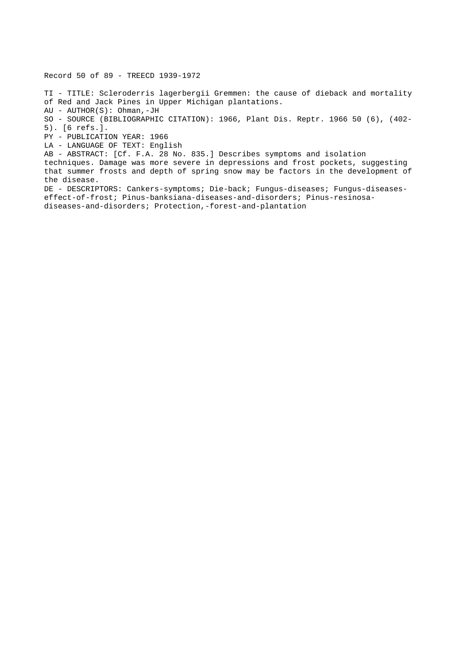TI - TITLE: Scleroderris lagerbergii Gremmen: the cause of dieback and mortality of Red and Jack Pines in Upper Michigan plantations. AU - AUTHOR(S): Ohman,-JH SO - SOURCE (BIBLIOGRAPHIC CITATION): 1966, Plant Dis. Reptr. 1966 50 (6), (402- 5). [6 refs.]. PY - PUBLICATION YEAR: 1966 LA - LANGUAGE OF TEXT: English AB - ABSTRACT: [Cf. F.A. 28 No. 835.] Describes symptoms and isolation techniques. Damage was more severe in depressions and frost pockets, suggesting that summer frosts and depth of spring snow may be factors in the development of the disease. DE - DESCRIPTORS: Cankers-symptoms; Die-back; Fungus-diseases; Fungus-diseaseseffect-of-frost; Pinus-banksiana-diseases-and-disorders; Pinus-resinosadiseases-and-disorders; Protection,-forest-and-plantation

Record 50 of 89 - TREECD 1939-1972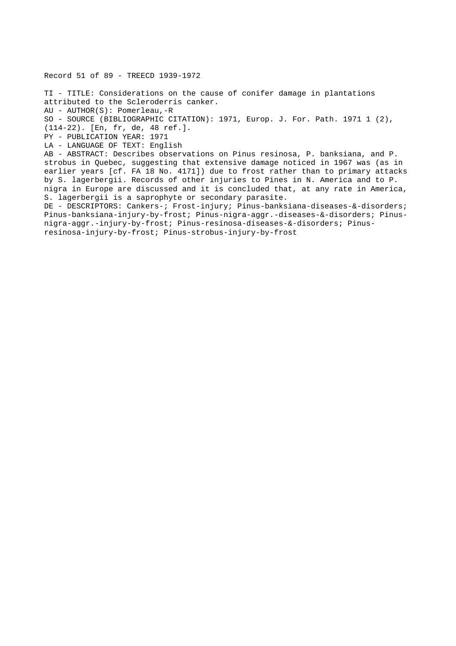Record 51 of 89 - TREECD 1939-1972 TI - TITLE: Considerations on the cause of conifer damage in plantations attributed to the Scleroderris canker. AU - AUTHOR(S): Pomerleau,-R SO - SOURCE (BIBLIOGRAPHIC CITATION): 1971, Europ. J. For. Path. 1971 1 (2), (114-22). [En, fr, de, 48 ref.]. PY - PUBLICATION YEAR: 1971 LA - LANGUAGE OF TEXT: English AB - ABSTRACT: Describes observations on Pinus resinosa, P. banksiana, and P. strobus in Quebec, suggesting that extensive damage noticed in 1967 was (as in earlier years [cf. FA 18 No. 4171]) due to frost rather than to primary attacks by S. lagerbergii. Records of other injuries to Pines in N. America and to P. nigra in Europe are discussed and it is concluded that, at any rate in America, S. lagerbergii is a saprophyte or secondary parasite. DE - DESCRIPTORS: Cankers-; Frost-injury; Pinus-banksiana-diseases-&-disorders; Pinus-banksiana-injury-by-frost; Pinus-nigra-aggr.-diseases-&-disorders; Pinusnigra-aggr.-injury-by-frost; Pinus-resinosa-diseases-&-disorders; Pinusresinosa-injury-by-frost; Pinus-strobus-injury-by-frost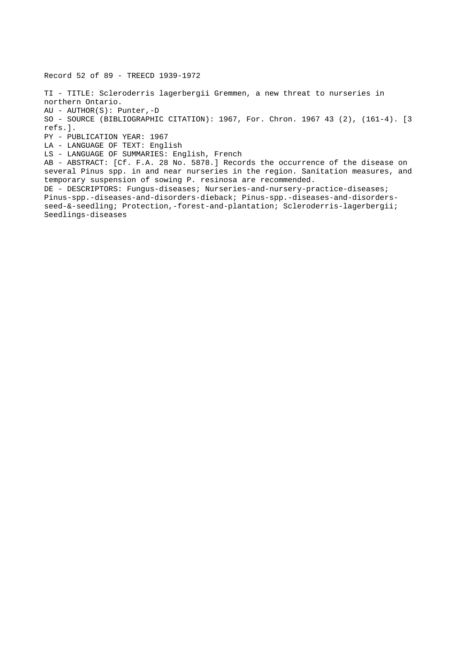Record 52 of 89 - TREECD 1939-1972 TI - TITLE: Scleroderris lagerbergii Gremmen, a new threat to nurseries in northern Ontario. AU - AUTHOR(S): Punter,-D SO - SOURCE (BIBLIOGRAPHIC CITATION): 1967, For. Chron. 1967 43 (2), (161-4). [3 refs.]. PY - PUBLICATION YEAR: 1967 LA - LANGUAGE OF TEXT: English LS - LANGUAGE OF SUMMARIES: English, French AB - ABSTRACT: [Cf. F.A. 28 No. 5878.] Records the occurrence of the disease on several Pinus spp. in and near nurseries in the region. Sanitation measures, and temporary suspension of sowing P. resinosa are recommended. DE - DESCRIPTORS: Fungus-diseases; Nurseries-and-nursery-practice-diseases; Pinus-spp.-diseases-and-disorders-dieback; Pinus-spp.-diseases-and-disordersseed-&-seedling; Protection,-forest-and-plantation; Scleroderris-lagerbergii; Seedlings-diseases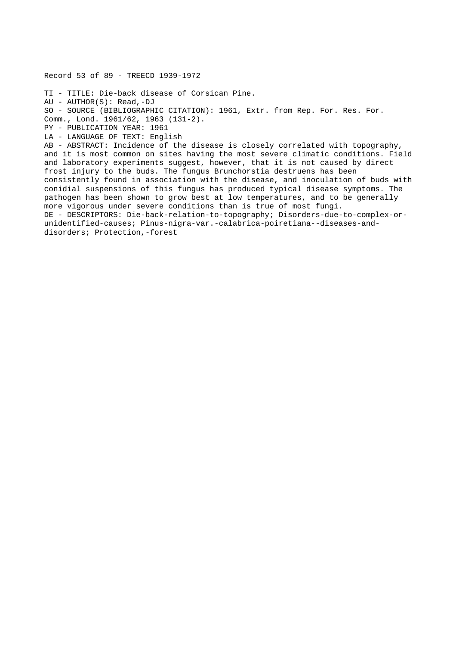Record 53 of 89 - TREECD 1939-1972 TI - TITLE: Die-back disease of Corsican Pine. AU - AUTHOR(S): Read,-DJ SO - SOURCE (BIBLIOGRAPHIC CITATION): 1961, Extr. from Rep. For. Res. For. Comm., Lond. 1961/62, 1963 (131-2). PY - PUBLICATION YEAR: 1961 LA - LANGUAGE OF TEXT: English AB - ABSTRACT: Incidence of the disease is closely correlated with topography, and it is most common on sites having the most severe climatic conditions. Field and laboratory experiments suggest, however, that it is not caused by direct frost injury to the buds. The fungus Brunchorstia destruens has been consistently found in association with the disease, and inoculation of buds with conidial suspensions of this fungus has produced typical disease symptoms. The pathogen has been shown to grow best at low temperatures, and to be generally more vigorous under severe conditions than is true of most fungi. DE - DESCRIPTORS: Die-back-relation-to-topography; Disorders-due-to-complex-orunidentified-causes; Pinus-nigra-var.-calabrica-poiretiana--diseases-anddisorders; Protection,-forest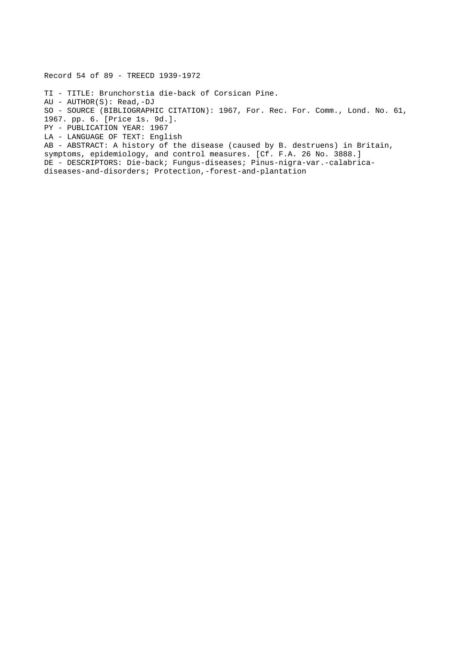Record 54 of 89 - TREECD 1939-1972

TI - TITLE: Brunchorstia die-back of Corsican Pine.

AU - AUTHOR(S): Read,-DJ

SO - SOURCE (BIBLIOGRAPHIC CITATION): 1967, For. Rec. For. Comm., Lond. No. 61,

1967. pp. 6. [Price 1s. 9d.].

PY - PUBLICATION YEAR: 1967

LA - LANGUAGE OF TEXT: English

AB - ABSTRACT: A history of the disease (caused by B. destruens) in Britain, symptoms, epidemiology, and control measures. [Cf. F.A. 26 No. 3888.] DE - DESCRIPTORS: Die-back; Fungus-diseases; Pinus-nigra-var.-calabricadiseases-and-disorders; Protection,-forest-and-plantation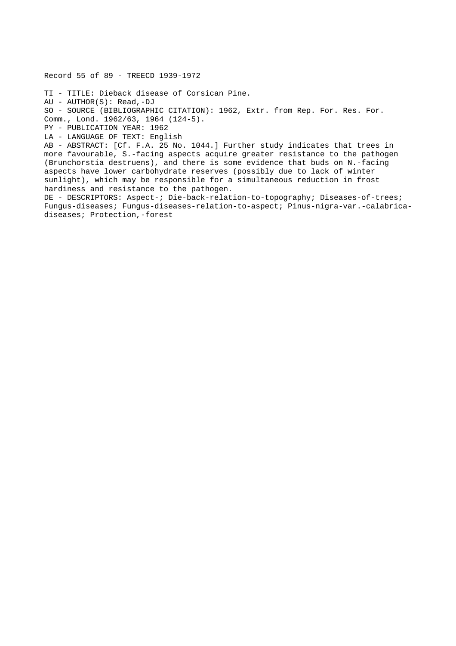Record 55 of 89 - TREECD 1939-1972

TI - TITLE: Dieback disease of Corsican Pine. AU - AUTHOR(S): Read,-DJ SO - SOURCE (BIBLIOGRAPHIC CITATION): 1962, Extr. from Rep. For. Res. For. Comm., Lond. 1962/63, 1964 (124-5). PY - PUBLICATION YEAR: 1962

LA - LANGUAGE OF TEXT: English

AB - ABSTRACT: [Cf. F.A. 25 No. 1044.] Further study indicates that trees in more favourable, S.-facing aspects acquire greater resistance to the pathogen (Brunchorstia destruens), and there is some evidence that buds on N.-facing aspects have lower carbohydrate reserves (possibly due to lack of winter sunlight), which may be responsible for a simultaneous reduction in frost hardiness and resistance to the pathogen.

DE - DESCRIPTORS: Aspect-; Die-back-relation-to-topography; Diseases-of-trees; Fungus-diseases; Fungus-diseases-relation-to-aspect; Pinus-nigra-var.-calabricadiseases; Protection,-forest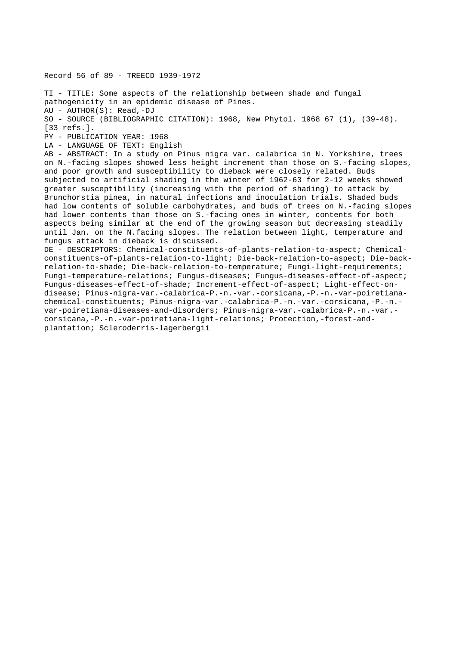Record 56 of 89 - TREECD 1939-1972

TI - TITLE: Some aspects of the relationship between shade and fungal pathogenicity in an epidemic disease of Pines. AU - AUTHOR(S): Read,-DJ SO - SOURCE (BIBLIOGRAPHIC CITATION): 1968, New Phytol. 1968 67 (1), (39-48). [33 refs.]. PY - PUBLICATION YEAR: 1968 LA - LANGUAGE OF TEXT: English AB - ABSTRACT: In a study on Pinus nigra var. calabrica in N. Yorkshire, trees on N.-facing slopes showed less height increment than those on S.-facing slopes, and poor growth and susceptibility to dieback were closely related. Buds subjected to artificial shading in the winter of 1962-63 for 2-12 weeks showed greater susceptibility (increasing with the period of shading) to attack by Brunchorstia pinea, in natural infections and inoculation trials. Shaded buds had low contents of soluble carbohydrates, and buds of trees on N.-facing slopes had lower contents than those on S.-facing ones in winter, contents for both aspects being similar at the end of the growing season but decreasing steadily until Jan. on the N.facing slopes. The relation between light, temperature and fungus attack in dieback is discussed. DE - DESCRIPTORS: Chemical-constituents-of-plants-relation-to-aspect; Chemicalconstituents-of-plants-relation-to-light; Die-back-relation-to-aspect; Die-backrelation-to-shade; Die-back-relation-to-temperature; Fungi-light-requirements; Fungi-temperature-relations; Fungus-diseases; Fungus-diseases-effect-of-aspect; Fungus-diseases-effect-of-shade; Increment-effect-of-aspect; Light-effect-ondisease; Pinus-nigra-var.-calabrica-P.-n.-var.-corsicana,-P.-n.-var-poiretianachemical-constituents; Pinus-nigra-var.-calabrica-P.-n.-var.-corsicana,-P.-n. var-poiretiana-diseases-and-disorders; Pinus-nigra-var.-calabrica-P.-n.-var. corsicana,-P.-n.-var-poiretiana-light-relations; Protection,-forest-and-

plantation; Scleroderris-lagerbergii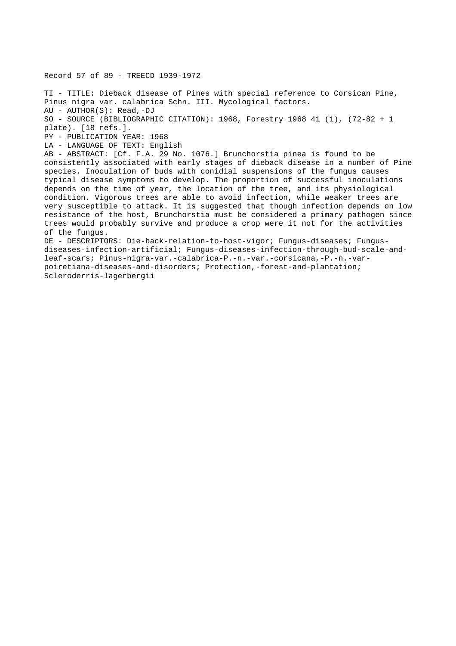Record 57 of 89 - TREECD 1939-1972 TI - TITLE: Dieback disease of Pines with special reference to Corsican Pine, Pinus nigra var. calabrica Schn. III. Mycological factors. AU - AUTHOR(S): Read,-DJ SO - SOURCE (BIBLIOGRAPHIC CITATION): 1968, Forestry 1968 41 (1), (72-82 + 1 plate). [18 refs.]. PY - PUBLICATION YEAR: 1968 LA - LANGUAGE OF TEXT: English AB - ABSTRACT: [Cf. F.A. 29 No. 1076.] Brunchorstia pinea is found to be consistently associated with early stages of dieback disease in a number of Pine species. Inoculation of buds with conidial suspensions of the fungus causes typical disease symptoms to develop. The proportion of successful inoculations depends on the time of year, the location of the tree, and its physiological condition. Vigorous trees are able to avoid infection, while weaker trees are very susceptible to attack. It is suggested that though infection depends on low resistance of the host, Brunchorstia must be considered a primary pathogen since trees would probably survive and produce a crop were it not for the activities of the fungus. DE - DESCRIPTORS: Die-back-relation-to-host-vigor; Fungus-diseases; Fungusdiseases-infection-artificial; Fungus-diseases-infection-through-bud-scale-andleaf-scars; Pinus-nigra-var.-calabrica-P.-n.-var.-corsicana,-P.-n.-varpoiretiana-diseases-and-disorders; Protection,-forest-and-plantation;

Scleroderris-lagerbergii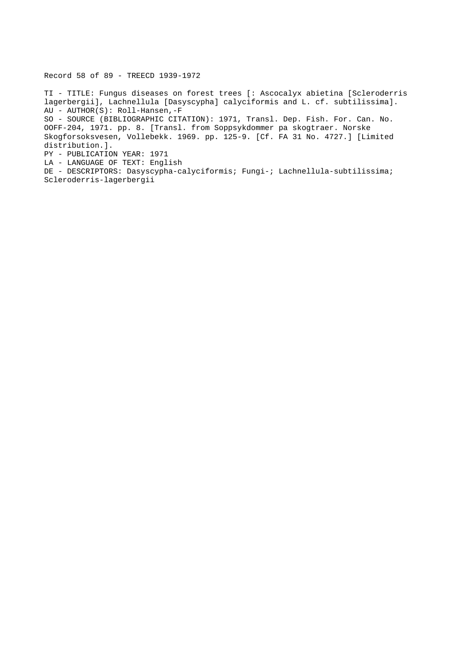Record 58 of 89 - TREECD 1939-1972

TI - TITLE: Fungus diseases on forest trees [: Ascocalyx abietina [Scleroderris lagerbergii], Lachnellula [Dasyscypha] calyciformis and L. cf. subtilissima]. AU - AUTHOR(S): Roll-Hansen,-F SO - SOURCE (BIBLIOGRAPHIC CITATION): 1971, Transl. Dep. Fish. For. Can. No. OOFF-204, 1971. pp. 8. [Transl. from Soppsykdommer pa skogtraer. Norske Skogforsoksvesen, Vollebekk. 1969. pp. 125-9. [Cf. FA 31 No. 4727.] [Limited distribution.]. PY - PUBLICATION YEAR: 1971

LA - LANGUAGE OF TEXT: English

DE - DESCRIPTORS: Dasyscypha-calyciformis; Fungi-; Lachnellula-subtilissima; Scleroderris-lagerbergii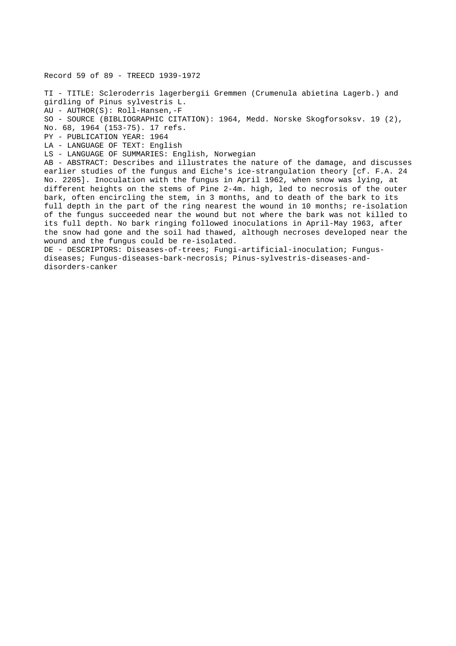Record 59 of 89 - TREECD 1939-1972 TI - TITLE: Scleroderris lagerbergii Gremmen (Crumenula abietina Lagerb.) and girdling of Pinus sylvestris L. AU - AUTHOR(S): Roll-Hansen,-F SO - SOURCE (BIBLIOGRAPHIC CITATION): 1964, Medd. Norske Skogforsoksv. 19 (2), No. 68, 1964 (153-75). 17 refs. PY - PUBLICATION YEAR: 1964 LA - LANGUAGE OF TEXT: English LS - LANGUAGE OF SUMMARIES: English, Norwegian AB - ABSTRACT: Describes and illustrates the nature of the damage, and discusses earlier studies of the fungus and Eiche's ice-strangulation theory [cf. F.A. 24 No. 2205]. Inoculation with the fungus in April 1962, when snow was lying, at different heights on the stems of Pine 2-4m. high, led to necrosis of the outer bark, often encircling the stem, in 3 months, and to death of the bark to its full depth in the part of the ring nearest the wound in 10 months; re-isolation of the fungus succeeded near the wound but not where the bark was not killed to its full depth. No bark ringing followed inoculations in April-May 1963, after the snow had gone and the soil had thawed, although necroses developed near the wound and the fungus could be re-isolated. DE - DESCRIPTORS: Diseases-of-trees; Fungi-artificial-inoculation; Fungusdiseases; Fungus-diseases-bark-necrosis; Pinus-sylvestris-diseases-anddisorders-canker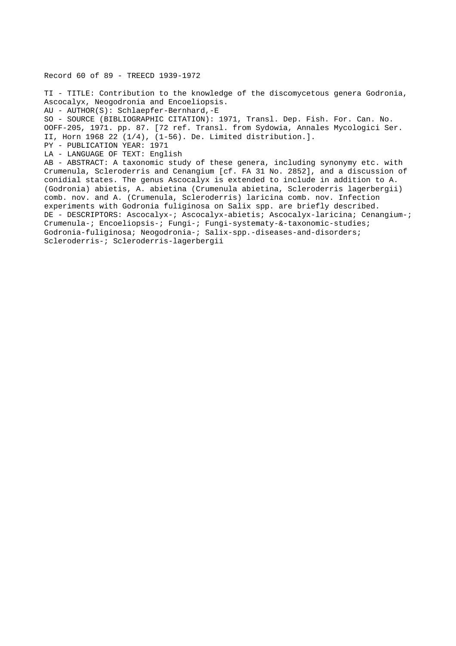Record 60 of 89 - TREECD 1939-1972

TI - TITLE: Contribution to the knowledge of the discomycetous genera Godronia, Ascocalyx, Neogodronia and Encoeliopsis. AU - AUTHOR(S): Schlaepfer-Bernhard,-E SO - SOURCE (BIBLIOGRAPHIC CITATION): 1971, Transl. Dep. Fish. For. Can. No. OOFF-205, 1971. pp. 87. [72 ref. Transl. from Sydowia, Annales Mycologici Ser. II, Horn 1968 22 (1/4), (1-56). De. Limited distribution.]. PY - PUBLICATION YEAR: 1971 LA - LANGUAGE OF TEXT: English AB - ABSTRACT: A taxonomic study of these genera, including synonymy etc. with Crumenula, Scleroderris and Cenangium [cf. FA 31 No. 2852], and a discussion of conidial states. The genus Ascocalyx is extended to include in addition to A. (Godronia) abietis, A. abietina (Crumenula abietina, Scleroderris lagerbergii) comb. nov. and A. (Crumenula, Scleroderris) laricina comb. nov. Infection experiments with Godronia fuliginosa on Salix spp. are briefly described. DE - DESCRIPTORS: Ascocalyx-; Ascocalyx-abietis; Ascocalyx-laricina; Cenangium-; Crumenula-; Encoeliopsis-; Fungi-; Fungi-systematy-&-taxonomic-studies; Godronia-fuliginosa; Neogodronia-; Salix-spp.-diseases-and-disorders; Scleroderris-; Scleroderris-lagerbergii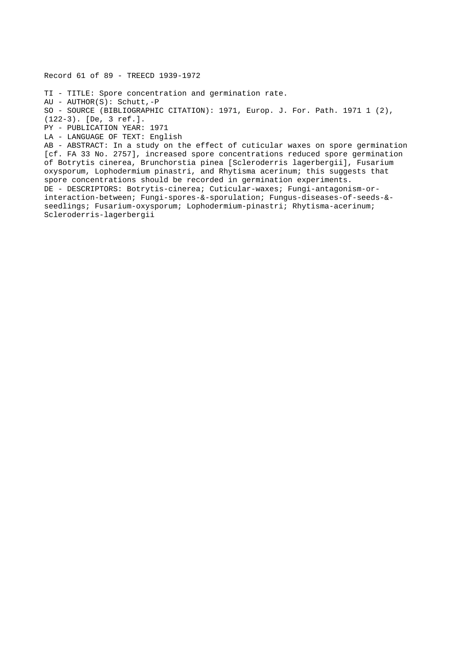Record 61 of 89 - TREECD 1939-1972

TI - TITLE: Spore concentration and germination rate.

AU - AUTHOR(S): Schutt,-P

SO - SOURCE (BIBLIOGRAPHIC CITATION): 1971, Europ. J. For. Path. 1971 1 (2),

(122-3). [De, 3 ref.].

PY - PUBLICATION YEAR: 1971

LA - LANGUAGE OF TEXT: English

AB - ABSTRACT: In a study on the effect of cuticular waxes on spore germination [cf. FA 33 No. 2757], increased spore concentrations reduced spore germination of Botrytis cinerea, Brunchorstia pinea [Scleroderris lagerbergii], Fusarium oxysporum, Lophodermium pinastri, and Rhytisma acerinum; this suggests that spore concentrations should be recorded in germination experiments. DE - DESCRIPTORS: Botrytis-cinerea; Cuticular-waxes; Fungi-antagonism-orinteraction-between; Fungi-spores-&-sporulation; Fungus-diseases-of-seeds-& seedlings; Fusarium-oxysporum; Lophodermium-pinastri; Rhytisma-acerinum; Scleroderris-lagerbergii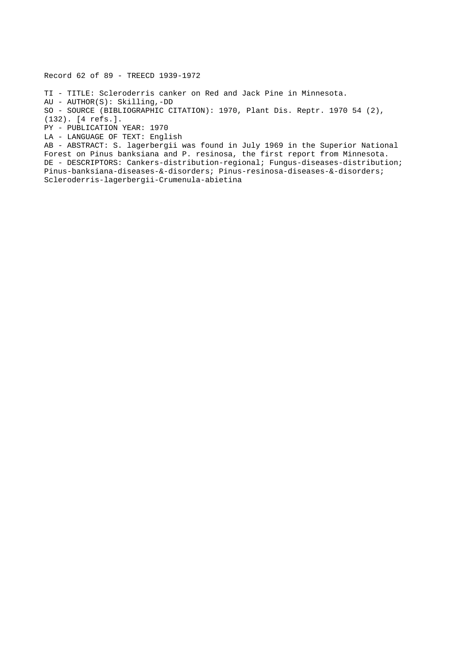Record 62 of 89 - TREECD 1939-1972

TI - TITLE: Scleroderris canker on Red and Jack Pine in Minnesota.

AU - AUTHOR(S): Skilling,-DD

SO - SOURCE (BIBLIOGRAPHIC CITATION): 1970, Plant Dis. Reptr. 1970 54 (2),

(132). [4 refs.].

PY - PUBLICATION YEAR: 1970

LA - LANGUAGE OF TEXT: English

AB - ABSTRACT: S. lagerbergii was found in July 1969 in the Superior National Forest on Pinus banksiana and P. resinosa, the first report from Minnesota. DE - DESCRIPTORS: Cankers-distribution-regional; Fungus-diseases-distribution; Pinus-banksiana-diseases-&-disorders; Pinus-resinosa-diseases-&-disorders; Scleroderris-lagerbergii-Crumenula-abietina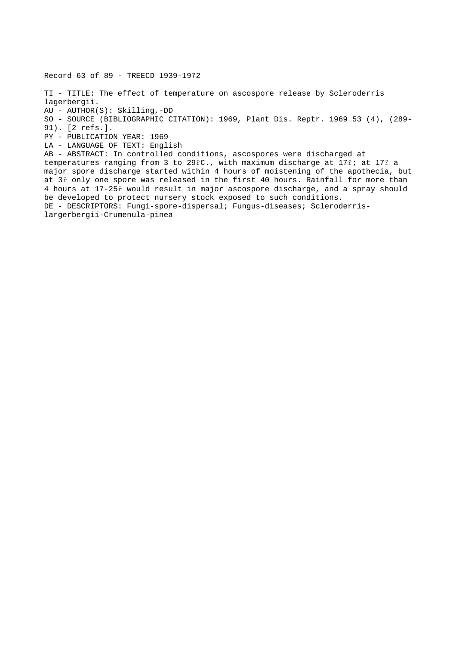Record 63 of 89 - TREECD 1939-1972

TI - TITLE: The effect of temperature on ascospore release by Scleroderris lagerbergii.

AU - AUTHOR(S): Skilling,-DD

SO - SOURCE (BIBLIOGRAPHIC CITATION): 1969, Plant Dis. Reptr. 1969 53 (4), (289-

91). [2 refs.].

PY - PUBLICATION YEAR: 1969

LA - LANGUAGE OF TEXT: English

AB - ABSTRACT: In controlled conditions, ascospores were discharged at temperatures ranging from 3 to 29řC., with maximum discharge at 17ř; at 17ř a major spore discharge started within 4 hours of moistening of the apothecia, but at 3ř only one spore was released in the first 40 hours. Rainfall for more than 4 hours at 17-25ř would result in major ascospore discharge, and a spray should be developed to protect nursery stock exposed to such conditions. DE - DESCRIPTORS: Fungi-spore-dispersal; Fungus-diseases; Scleroderrislargerbergii-Crumenula-pinea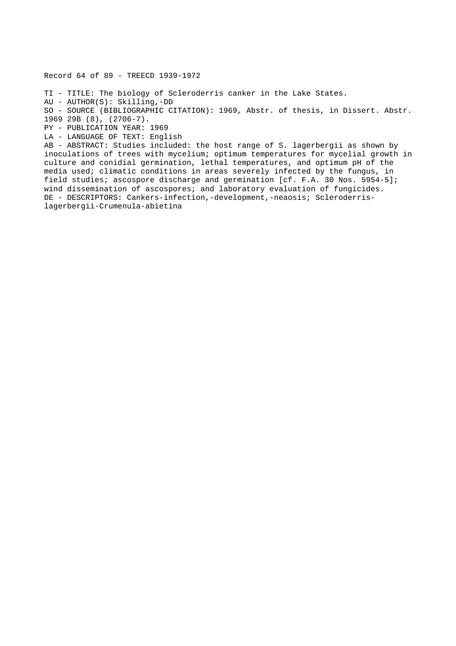Record 64 of 89 - TREECD 1939-1972

TI - TITLE: The biology of Scleroderris canker in the Lake States.

AU - AUTHOR(S): Skilling,-DD

SO - SOURCE (BIBLIOGRAPHIC CITATION): 1969, Abstr. of thesis, in Dissert. Abstr.

1969 29B (8), (2706-7).

PY - PUBLICATION YEAR: 1969

LA - LANGUAGE OF TEXT: English

AB - ABSTRACT: Studies included: the host range of S. lagerbergii as shown by inoculations of trees with mycelium; optimum temperatures for mycelial growth in culture and conidial germination, lethal temperatures, and optimum pH of the media used; climatic conditions in areas severely infected by the fungus, in field studies; ascospore discharge and germination [cf. F.A. 30 Nos. 5954-5]; wind dissemination of ascospores; and laboratory evaluation of fungicides. DE - DESCRIPTORS: Cankers-infection,-development,-neaosis; Scleroderrislagerbergii-Crumenula-abietina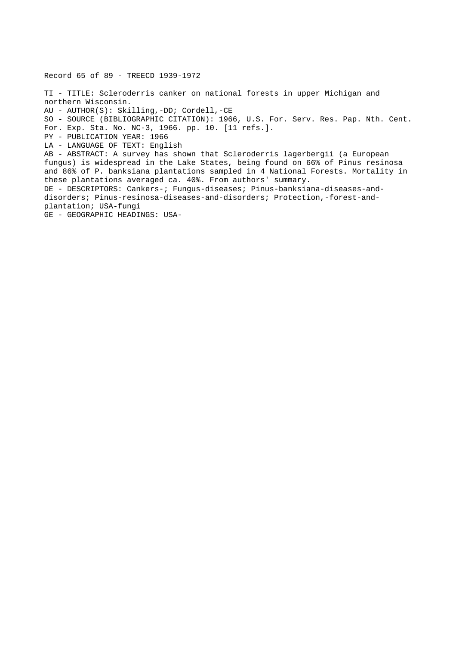Record 65 of 89 - TREECD 1939-1972 TI - TITLE: Scleroderris canker on national forests in upper Michigan and northern Wisconsin. AU - AUTHOR(S): Skilling,-DD; Cordell,-CE SO - SOURCE (BIBLIOGRAPHIC CITATION): 1966, U.S. For. Serv. Res. Pap. Nth. Cent. For. Exp. Sta. No. NC-3, 1966. pp. 10. [11 refs.]. PY - PUBLICATION YEAR: 1966 LA - LANGUAGE OF TEXT: English AB - ABSTRACT: A survey has shown that Scleroderris lagerbergii (a European fungus) is widespread in the Lake States, being found on 66% of Pinus resinosa and 86% of P. banksiana plantations sampled in 4 National Forests. Mortality in these plantations averaged ca. 40%. From authors' summary. DE - DESCRIPTORS: Cankers-; Fungus-diseases; Pinus-banksiana-diseases-anddisorders; Pinus-resinosa-diseases-and-disorders; Protection,-forest-andplantation; USA-fungi GE - GEOGRAPHIC HEADINGS: USA-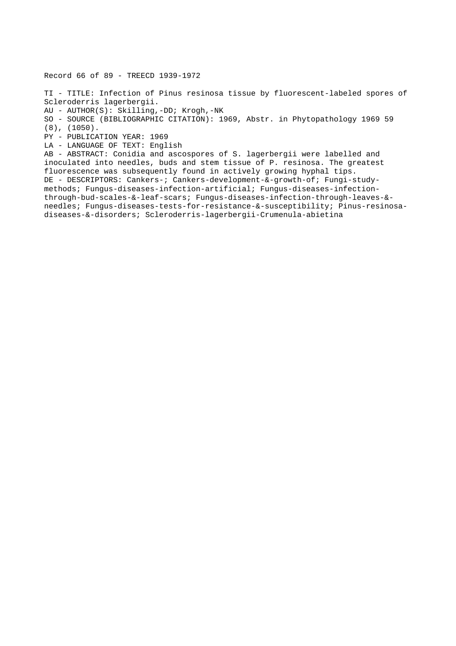Record 66 of 89 - TREECD 1939-1972

TI - TITLE: Infection of Pinus resinosa tissue by fluorescent-labeled spores of Scleroderris lagerbergii. AU - AUTHOR(S): Skilling,-DD; Krogh,-NK SO - SOURCE (BIBLIOGRAPHIC CITATION): 1969, Abstr. in Phytopathology 1969 59 (8), (1050). PY - PUBLICATION YEAR: 1969 LA - LANGUAGE OF TEXT: English AB - ABSTRACT: Conidia and ascospores of S. lagerbergii were labelled and inoculated into needles, buds and stem tissue of P. resinosa. The greatest fluorescence was subsequently found in actively growing hyphal tips. DE - DESCRIPTORS: Cankers-; Cankers-development-&-growth-of; Fungi-studymethods; Fungus-diseases-infection-artificial; Fungus-diseases-infectionthrough-bud-scales-&-leaf-scars; Fungus-diseases-infection-through-leaves-& needles; Fungus-diseases-tests-for-resistance-&-susceptibility; Pinus-resinosadiseases-&-disorders; Scleroderris-lagerbergii-Crumenula-abietina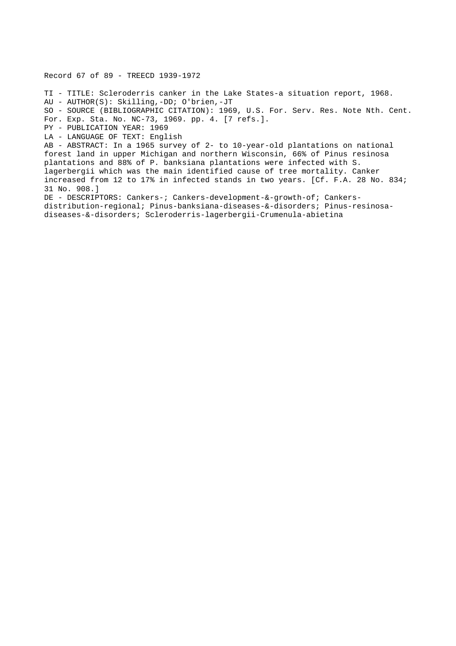Record 67 of 89 - TREECD 1939-1972 TI - TITLE: Scleroderris canker in the Lake States-a situation report, 1968. AU - AUTHOR(S): Skilling,-DD; O'brien,-JT SO - SOURCE (BIBLIOGRAPHIC CITATION): 1969, U.S. For. Serv. Res. Note Nth. Cent. For. Exp. Sta. No. NC-73, 1969. pp. 4. [7 refs.]. PY - PUBLICATION YEAR: 1969 LA - LANGUAGE OF TEXT: English AB - ABSTRACT: In a 1965 survey of 2- to 10-year-old plantations on national forest land in upper Michigan and northern Wisconsin, 66% of Pinus resinosa plantations and 88% of P. banksiana plantations were infected with S. lagerbergii which was the main identified cause of tree mortality. Canker increased from 12 to 17% in infected stands in two years. [Cf. F.A. 28 No. 834; 31 No. 908.] DE - DESCRIPTORS: Cankers-; Cankers-development-&-growth-of; Cankersdistribution-regional; Pinus-banksiana-diseases-&-disorders; Pinus-resinosadiseases-&-disorders; Scleroderris-lagerbergii-Crumenula-abietina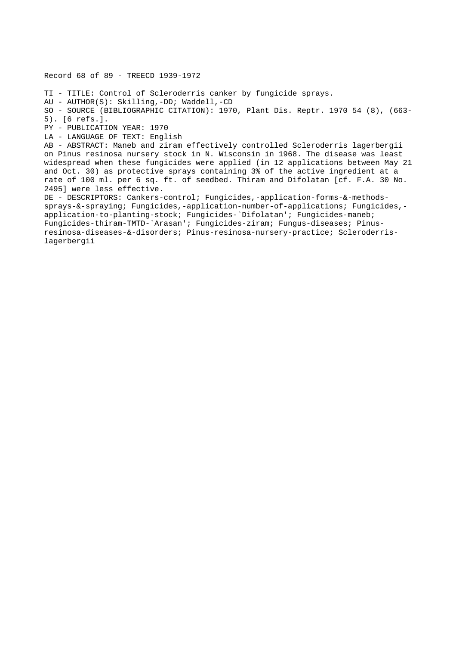Record 68 of 89 - TREECD 1939-1972 TI - TITLE: Control of Scleroderris canker by fungicide sprays. AU - AUTHOR(S): Skilling,-DD; Waddell,-CD SO - SOURCE (BIBLIOGRAPHIC CITATION): 1970, Plant Dis. Reptr. 1970 54 (8), (663- 5). [6 refs.]. PY - PUBLICATION YEAR: 1970 LA - LANGUAGE OF TEXT: English AB - ABSTRACT: Maneb and ziram effectively controlled Scleroderris lagerbergii on Pinus resinosa nursery stock in N. Wisconsin in 1968. The disease was least widespread when these fungicides were applied (in 12 applications between May 21 and Oct. 30) as protective sprays containing 3% of the active ingredient at a rate of 100 ml. per 6 sq. ft. of seedbed. Thiram and Difolatan [cf. F.A. 30 No. 2495] were less effective. DE - DESCRIPTORS: Cankers-control; Fungicides,-application-forms-&-methodssprays-&-spraying; Fungicides,-application-number-of-applications; Fungicides, application-to-planting-stock; Fungicides-`Difolatan'; Fungicides-maneb; Fungicides-thiram-TMTD-`Arasan'; Fungicides-ziram; Fungus-diseases; Pinusresinosa-diseases-&-disorders; Pinus-resinosa-nursery-practice; Scleroderrislagerbergii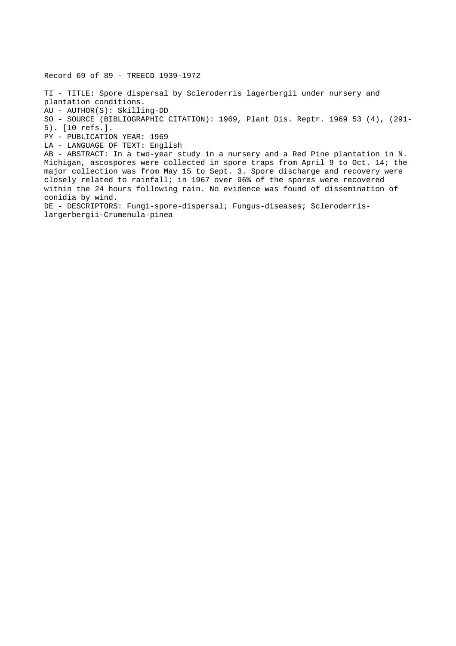Record 69 of 89 - TREECD 1939-1972

TI - TITLE: Spore dispersal by Scleroderris lagerbergii under nursery and plantation conditions. AU - AUTHOR(S): Skilling-DD SO - SOURCE (BIBLIOGRAPHIC CITATION): 1969, Plant Dis. Reptr. 1969 53 (4), (291- 5). [10 refs.]. PY - PUBLICATION YEAR: 1969 LA - LANGUAGE OF TEXT: English AB - ABSTRACT: In a two-year study in a nursery and a Red Pine plantation in N. Michigan, ascospores were collected in spore traps from April 9 to Oct. 14; the major collection was from May 15 to Sept. 3. Spore discharge and recovery were closely related to rainfall; in 1967 over 96% of the spores were recovered within the 24 hours following rain. No evidence was found of dissemination of conidia by wind. DE - DESCRIPTORS: Fungi-spore-dispersal; Fungus-diseases; Scleroderris-

largerbergii-Crumenula-pinea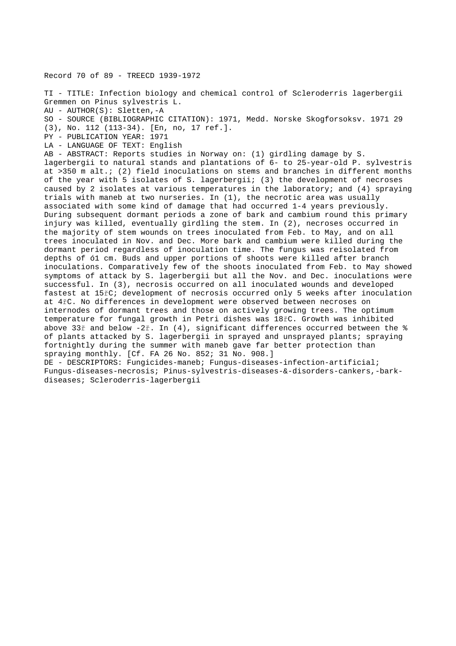Record 70 of 89 - TREECD 1939-1972

TI - TITLE: Infection biology and chemical control of Scleroderris lagerbergii Gremmen on Pinus sylvestris L. AU - AUTHOR(S): Sletten,-A SO - SOURCE (BIBLIOGRAPHIC CITATION): 1971, Medd. Norske Skogforsoksv. 1971 29 (3), No. 112 (113-34). [En, no, 17 ref.]. PY - PUBLICATION YEAR: 1971 LA - LANGUAGE OF TEXT: English AB - ABSTRACT: Reports studies in Norway on: (1) girdling damage by S. lagerbergii to natural stands and plantations of 6- to 25-year-old P. sylvestris at >350 m alt.; (2) field inoculations on stems and branches in different months of the year with 5 isolates of S. lagerbergii; (3) the development of necroses caused by 2 isolates at various temperatures in the laboratory; and (4) spraying trials with maneb at two nurseries. In (1), the necrotic area was usually associated with some kind of damage that had occurred 1-4 years previously. During subsequent dormant periods a zone of bark and cambium round this primary injury was killed, eventually girdling the stem. In (2), necroses occurred in the majority of stem wounds on trees inoculated from Feb. to May, and on all trees inoculated in Nov. and Dec. More bark and cambium were killed during the dormant period regardless of inoculation time. The fungus was reisolated from depths of ó1 cm. Buds and upper portions of shoots were killed after branch inoculations. Comparatively few of the shoots inoculated from Feb. to May showed symptoms of attack by S. lagerbergii but all the Nov. and Dec. inoculations were successful. In (3), necrosis occurred on all inoculated wounds and developed fastest at 15řC; development of necrosis occurred only 5 weeks after inoculation at 4řC. No differences in development were observed between necroses on internodes of dormant trees and those on actively growing trees. The optimum temperature for fungal growth in Petri dishes was 18řC. Growth was inhibited above 33ř and below -2ř. In (4), significant differences occurred between the % of plants attacked by S. lagerbergii in sprayed and unsprayed plants; spraying fortnightly during the summer with maneb gave far better protection than spraying monthly. [Cf. FA 26 No. 852; 31 No. 908.] DE - DESCRIPTORS: Fungicides-maneb; Fungus-diseases-infection-artificial; Fungus-diseases-necrosis; Pinus-sylvestris-diseases-&-disorders-cankers,-barkdiseases; Scleroderris-lagerbergii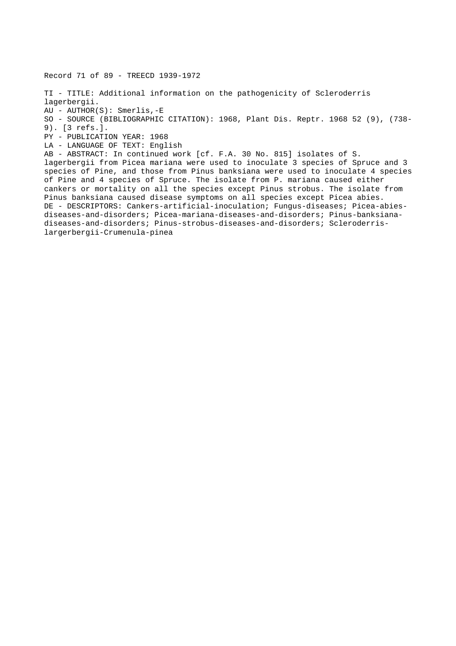Record 71 of 89 - TREECD 1939-1972 TI - TITLE: Additional information on the pathogenicity of Scleroderris lagerbergii. AU - AUTHOR(S): Smerlis,-E SO - SOURCE (BIBLIOGRAPHIC CITATION): 1968, Plant Dis. Reptr. 1968 52 (9), (738- 9). [3 refs.]. PY - PUBLICATION YEAR: 1968 LA - LANGUAGE OF TEXT: English AB - ABSTRACT: In continued work [cf. F.A. 30 No. 815] isolates of S. lagerbergii from Picea mariana were used to inoculate 3 species of Spruce and 3 species of Pine, and those from Pinus banksiana were used to inoculate 4 species of Pine and 4 species of Spruce. The isolate from P. mariana caused either cankers or mortality on all the species except Pinus strobus. The isolate from Pinus banksiana caused disease symptoms on all species except Picea abies. DE - DESCRIPTORS: Cankers-artificial-inoculation; Fungus-diseases; Picea-abiesdiseases-and-disorders; Picea-mariana-diseases-and-disorders; Pinus-banksianadiseases-and-disorders; Pinus-strobus-diseases-and-disorders; Scleroderrislargerbergii-Crumenula-pinea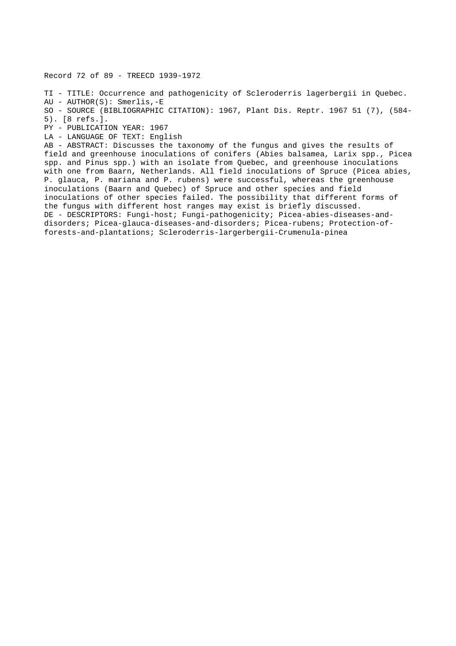Record 72 of 89 - TREECD 1939-1972

TI - TITLE: Occurrence and pathogenicity of Scleroderris lagerbergii in Quebec.

AU - AUTHOR(S): Smerlis,-E

SO - SOURCE (BIBLIOGRAPHIC CITATION): 1967, Plant Dis. Reptr. 1967 51 (7), (584- 5). [8 refs.].

PY - PUBLICATION YEAR: 1967

LA - LANGUAGE OF TEXT: English

AB - ABSTRACT: Discusses the taxonomy of the fungus and gives the results of field and greenhouse inoculations of conifers (Abies balsamea, Larix spp., Picea spp. and Pinus spp.) with an isolate from Quebec, and greenhouse inoculations with one from Baarn, Netherlands. All field inoculations of Spruce (Picea abies, P. glauca, P. mariana and P. rubens) were successful, whereas the greenhouse inoculations (Baarn and Quebec) of Spruce and other species and field inoculations of other species failed. The possibility that different forms of the fungus with different host ranges may exist is briefly discussed. DE - DESCRIPTORS: Fungi-host; Fungi-pathogenicity; Picea-abies-diseases-anddisorders; Picea-glauca-diseases-and-disorders; Picea-rubens; Protection-offorests-and-plantations; Scleroderris-largerbergii-Crumenula-pinea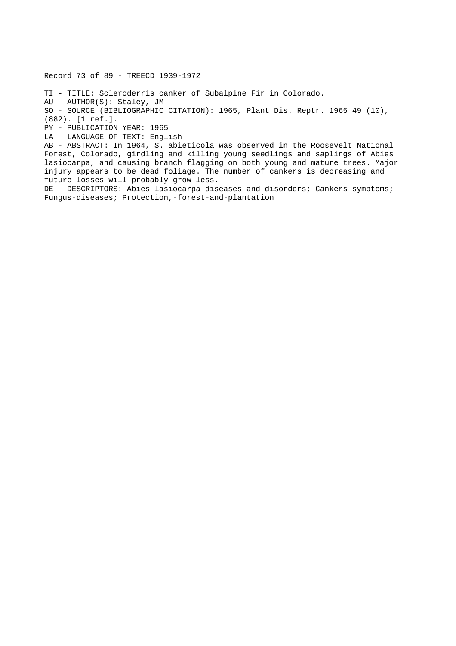Record 73 of 89 - TREECD 1939-1972

TI - TITLE: Scleroderris canker of Subalpine Fir in Colorado.

AU - AUTHOR(S): Staley,-JM

SO - SOURCE (BIBLIOGRAPHIC CITATION): 1965, Plant Dis. Reptr. 1965 49 (10),

(882). [1 ref.].

PY - PUBLICATION YEAR: 1965

LA - LANGUAGE OF TEXT: English

AB - ABSTRACT: In 1964, S. abieticola was observed in the Roosevelt National Forest, Colorado, girdling and killing young seedlings and saplings of Abies lasiocarpa, and causing branch flagging on both young and mature trees. Major injury appears to be dead foliage. The number of cankers is decreasing and future losses will probably grow less.

DE - DESCRIPTORS: Abies-lasiocarpa-diseases-and-disorders; Cankers-symptoms; Fungus-diseases; Protection,-forest-and-plantation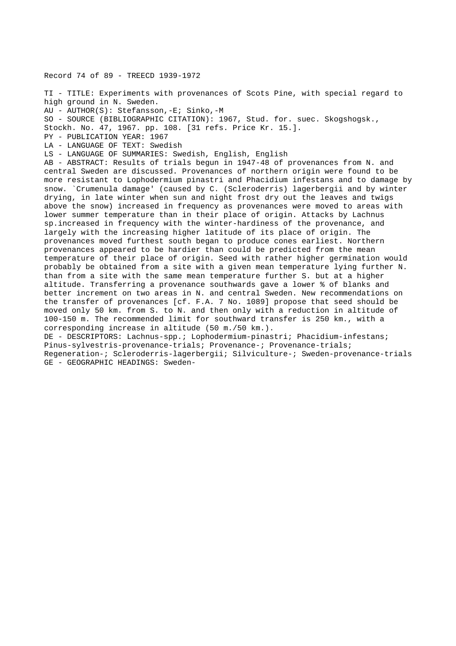Record 74 of 89 - TREECD 1939-1972

TI - TITLE: Experiments with provenances of Scots Pine, with special regard to high ground in N. Sweden. AU - AUTHOR(S): Stefansson,-E; Sinko,-M SO - SOURCE (BIBLIOGRAPHIC CITATION): 1967, Stud. for. suec. Skogshogsk., Stockh. No. 47, 1967. pp. 108. [31 refs. Price Kr. 15.]. PY - PUBLICATION YEAR: 1967 LA - LANGUAGE OF TEXT: Swedish LS - LANGUAGE OF SUMMARIES: Swedish, English, English AB - ABSTRACT: Results of trials begun in 1947-48 of provenances from N. and central Sweden are discussed. Provenances of northern origin were found to be more resistant to Lophodermium pinastri and Phacidium infestans and to damage by snow. `Crumenula damage' (caused by C. (Scleroderris) lagerbergii and by winter drying, in late winter when sun and night frost dry out the leaves and twigs above the snow) increased in frequency as provenances were moved to areas with lower summer temperature than in their place of origin. Attacks by Lachnus sp.increased in frequency with the winter-hardiness of the provenance, and largely with the increasing higher latitude of its place of origin. The provenances moved furthest south began to produce cones earliest. Northern provenances appeared to be hardier than could be predicted from the mean temperature of their place of origin. Seed with rather higher germination would probably be obtained from a site with a given mean temperature lying further N. than from a site with the same mean temperature further S. but at a higher altitude. Transferring a provenance southwards gave a lower % of blanks and better increment on two areas in N. and central Sweden. New recommendations on the transfer of provenances [cf. F.A. 7 No. 1089] propose that seed should be moved only 50 km. from S. to N. and then only with a reduction in altitude of 100-150 m. The recommended limit for southward transfer is 250 km., with a corresponding increase in altitude (50 m./50 km.). DE - DESCRIPTORS: Lachnus-spp.; Lophodermium-pinastri; Phacidium-infestans; Pinus-sylvestris-provenance-trials; Provenance-; Provenance-trials; Regeneration-; Scleroderris-lagerbergii; Silviculture-; Sweden-provenance-trials GE - GEOGRAPHIC HEADINGS: Sweden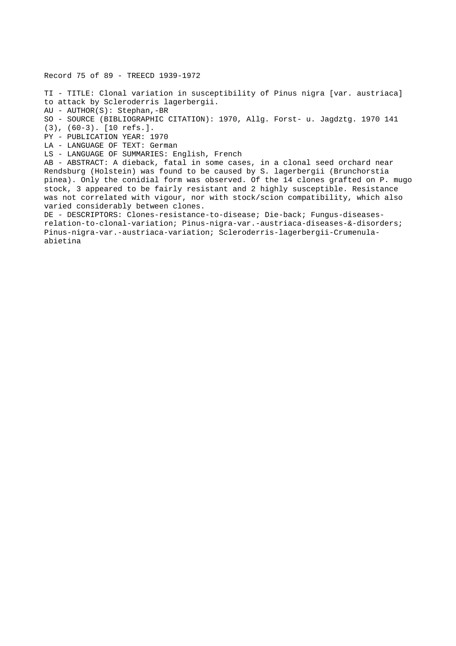Record 75 of 89 - TREECD 1939-1972

TI - TITLE: Clonal variation in susceptibility of Pinus nigra [var. austriaca] to attack by Scleroderris lagerbergii. AU - AUTHOR(S): Stephan,-BR SO - SOURCE (BIBLIOGRAPHIC CITATION): 1970, Allg. Forst- u. Jagdztg. 1970 141 (3), (60-3). [10 refs.]. PY - PUBLICATION YEAR: 1970 LA - LANGUAGE OF TEXT: German LS - LANGUAGE OF SUMMARIES: English, French AB - ABSTRACT: A dieback, fatal in some cases, in a clonal seed orchard near Rendsburg (Holstein) was found to be caused by S. lagerbergii (Brunchorstia pinea). Only the conidial form was observed. Of the 14 clones grafted on P. mugo stock, 3 appeared to be fairly resistant and 2 highly susceptible. Resistance was not correlated with vigour, nor with stock/scion compatibility, which also varied considerably between clones. DE - DESCRIPTORS: Clones-resistance-to-disease; Die-back; Fungus-diseasesrelation-to-clonal-variation; Pinus-nigra-var.-austriaca-diseases-&-disorders; Pinus-nigra-var.-austriaca-variation; Scleroderris-lagerbergii-Crumenulaabietina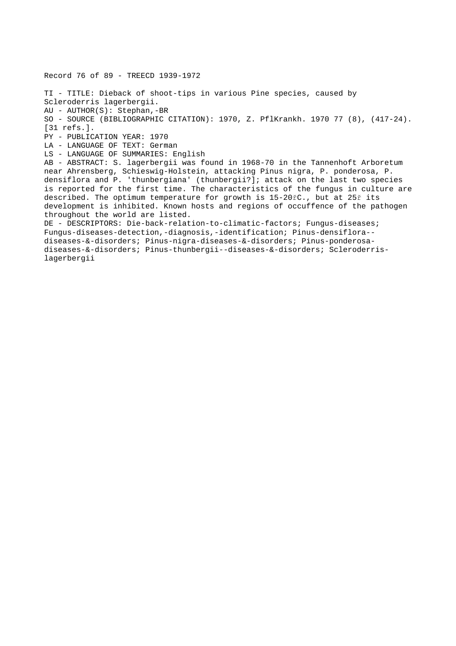Record 76 of 89 - TREECD 1939-1972 TI - TITLE: Dieback of shoot-tips in various Pine species, caused by Scleroderris lagerbergii. AU - AUTHOR(S): Stephan,-BR SO - SOURCE (BIBLIOGRAPHIC CITATION): 1970, Z. PflKrankh. 1970 77 (8), (417-24). [31 refs.]. PY - PUBLICATION YEAR: 1970 LA - LANGUAGE OF TEXT: German LS - LANGUAGE OF SUMMARIES: English AB - ABSTRACT: S. lagerbergii was found in 1968-70 in the Tannenhoft Arboretum near Ahrensberg, Schieswig-Holstein, attacking Pinus nigra, P. ponderosa, P. densiflora and P. 'thunbergiana' (thunbergii?]; attack on the last two species is reported for the first time. The characteristics of the fungus in culture are described. The optimum temperature for growth is 15-20řC., but at 25ř its development is inhibited. Known hosts and regions of occuffence of the pathogen throughout the world are listed. DE - DESCRIPTORS: Die-back-relation-to-climatic-factors; Fungus-diseases; Fungus-diseases-detection,-diagnosis,-identification; Pinus-densiflora- diseases-&-disorders; Pinus-nigra-diseases-&-disorders; Pinus-ponderosadiseases-&-disorders; Pinus-thunbergii--diseases-&-disorders; Scleroderrislagerbergii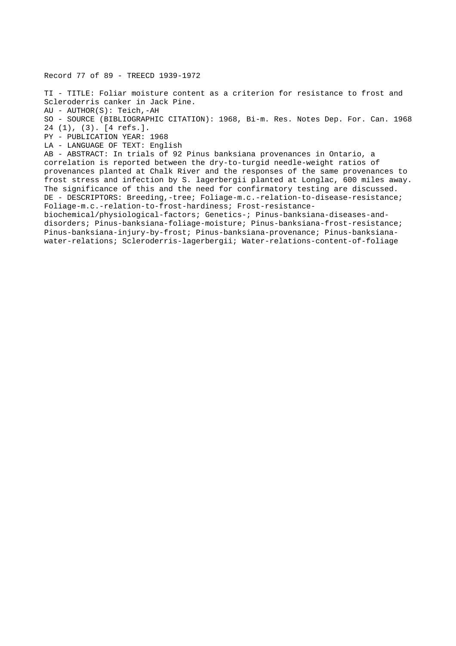Record 77 of 89 - TREECD 1939-1972

TI - TITLE: Foliar moisture content as a criterion for resistance to frost and Scleroderris canker in Jack Pine. AU - AUTHOR(S): Teich,-AH SO - SOURCE (BIBLIOGRAPHIC CITATION): 1968, Bi-m. Res. Notes Dep. For. Can. 1968 24 (1), (3). [4 refs.]. PY - PUBLICATION YEAR: 1968 LA - LANGUAGE OF TEXT: English AB - ABSTRACT: In trials of 92 Pinus banksiana provenances in Ontario, a correlation is reported between the dry-to-turgid needle-weight ratios of provenances planted at Chalk River and the responses of the same provenances to frost stress and infection by S. lagerbergii planted at Longlac, 600 miles away.

The significance of this and the need for confirmatory testing are discussed. DE - DESCRIPTORS: Breeding,-tree; Foliage-m.c.-relation-to-disease-resistance; Foliage-m.c.-relation-to-frost-hardiness; Frost-resistance-

biochemical/physiological-factors; Genetics-; Pinus-banksiana-diseases-anddisorders; Pinus-banksiana-foliage-moisture; Pinus-banksiana-frost-resistance; Pinus-banksiana-injury-by-frost; Pinus-banksiana-provenance; Pinus-banksianawater-relations; Scleroderris-lagerbergii; Water-relations-content-of-foliage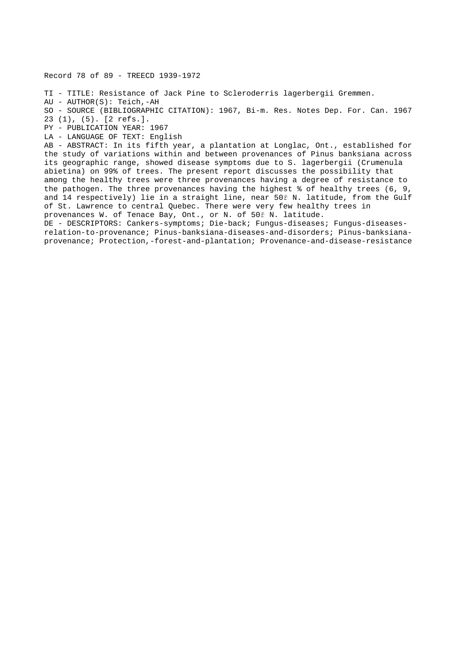Record 78 of 89 - TREECD 1939-1972

TI - TITLE: Resistance of Jack Pine to Scleroderris lagerbergii Gremmen.

AU - AUTHOR(S): Teich,-AH

SO - SOURCE (BIBLIOGRAPHIC CITATION): 1967, Bi-m. Res. Notes Dep. For. Can. 1967 23 (1), (5). [2 refs.].

PY - PUBLICATION YEAR: 1967

LA - LANGUAGE OF TEXT: English

AB - ABSTRACT: In its fifth year, a plantation at Longlac, Ont., established for the study of variations within and between provenances of Pinus banksiana across its geographic range, showed disease symptoms due to S. lagerbergii (Crumenula abietina) on 99% of trees. The present report discusses the possibility that among the healthy trees were three provenances having a degree of resistance to the pathogen. The three provenances having the highest % of healthy trees (6, 9, and 14 respectively) lie in a straight line, near 50ř N. latitude, from the Gulf of St. Lawrence to central Quebec. There were very few healthy trees in provenances W. of Tenace Bay, Ont., or N. of 50ř N. latitude.

DE - DESCRIPTORS: Cankers-symptoms; Die-back; Fungus-diseases; Fungus-diseasesrelation-to-provenance; Pinus-banksiana-diseases-and-disorders; Pinus-banksianaprovenance; Protection,-forest-and-plantation; Provenance-and-disease-resistance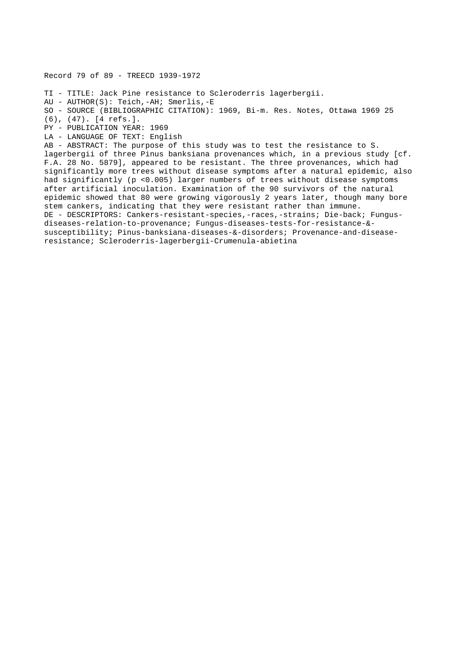Record 79 of 89 - TREECD 1939-1972

TI - TITLE: Jack Pine resistance to Scleroderris lagerbergii.

AU - AUTHOR(S): Teich,-AH; Smerlis,-E

```
SO - SOURCE (BIBLIOGRAPHIC CITATION): 1969, Bi-m. Res. Notes, Ottawa 1969 25
```
(6), (47). [4 refs.].

PY - PUBLICATION YEAR: 1969

LA - LANGUAGE OF TEXT: English

AB - ABSTRACT: The purpose of this study was to test the resistance to S. lagerbergii of three Pinus banksiana provenances which, in a previous study [cf. F.A. 28 No. 5879], appeared to be resistant. The three provenances, which had significantly more trees without disease symptoms after a natural epidemic, also had significantly (p <0.005) larger numbers of trees without disease symptoms after artificial inoculation. Examination of the 90 survivors of the natural epidemic showed that 80 were growing vigorously 2 years later, though many bore stem cankers, indicating that they were resistant rather than immune. DE - DESCRIPTORS: Cankers-resistant-species,-races,-strains; Die-back; Fungusdiseases-relation-to-provenance; Fungus-diseases-tests-for-resistance-& susceptibility; Pinus-banksiana-diseases-&-disorders; Provenance-and-diseaseresistance; Scleroderris-lagerbergii-Crumenula-abietina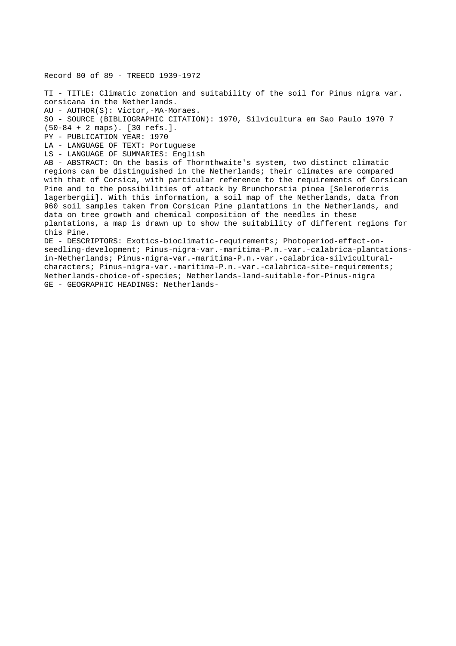Record 80 of 89 - TREECD 1939-1972 TI - TITLE: Climatic zonation and suitability of the soil for Pinus nigra var. corsicana in the Netherlands. AU - AUTHOR(S): Victor,-MA-Moraes. SO - SOURCE (BIBLIOGRAPHIC CITATION): 1970, Silvicultura em Sao Paulo 1970 7 (50-84 + 2 maps). [30 refs.]. PY - PUBLICATION YEAR: 1970 LA - LANGUAGE OF TEXT: Portuguese LS - LANGUAGE OF SUMMARIES: English AB - ABSTRACT: On the basis of Thornthwaite's system, two distinct climatic regions can be distinguished in the Netherlands; their climates are compared with that of Corsica, with particular reference to the requirements of Corsican Pine and to the possibilities of attack by Brunchorstia pinea [Seleroderris lagerbergii]. With this information, a soil map of the Netherlands, data from 960 soil samples taken from Corsican Pine plantations in the Netherlands, and data on tree growth and chemical composition of the needles in these plantations, a map is drawn up to show the suitability of different regions for this Pine. DE - DESCRIPTORS: Exotics-bioclimatic-requirements; Photoperiod-effect-onseedling-development; Pinus-nigra-var.-maritima-P.n.-var.-calabrica-plantationsin-Netherlands; Pinus-nigra-var.-maritima-P.n.-var.-calabrica-silviculturalcharacters; Pinus-nigra-var.-maritima-P.n.-var.-calabrica-site-requirements; Netherlands-choice-of-species; Netherlands-land-suitable-for-Pinus-nigra

GE - GEOGRAPHIC HEADINGS: Netherlands-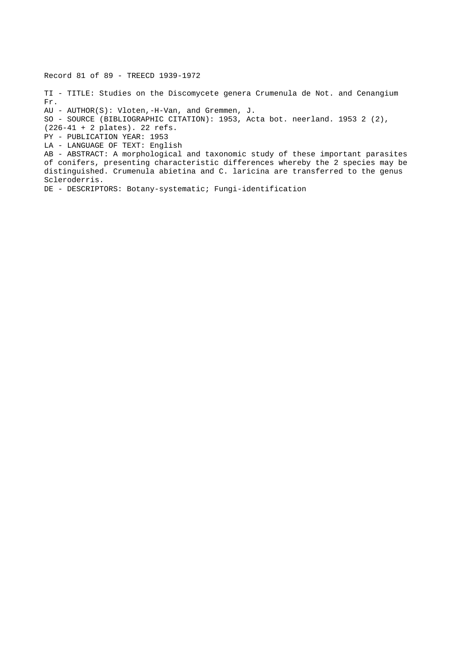Record 81 of 89 - TREECD 1939-1972 TI - TITLE: Studies on the Discomycete genera Crumenula de Not. and Cenangium Fr. AU - AUTHOR(S): Vloten,-H-Van, and Gremmen, J. SO - SOURCE (BIBLIOGRAPHIC CITATION): 1953, Acta bot. neerland. 1953 2 (2), (226-41 + 2 plates). 22 refs. PY - PUBLICATION YEAR: 1953 LA - LANGUAGE OF TEXT: English AB - ABSTRACT: A morphological and taxonomic study of these important parasites of conifers, presenting characteristic differences whereby the 2 species may be distinguished. Crumenula abietina and C. laricina are transferred to the genus Scleroderris. DE - DESCRIPTORS: Botany-systematic; Fungi-identification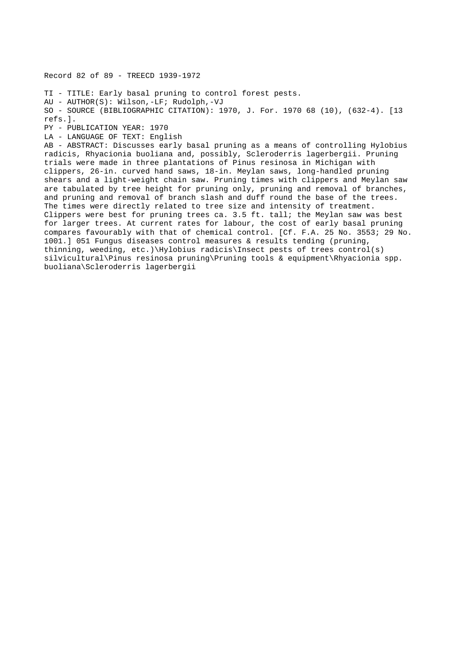Record 82 of 89 - TREECD 1939-1972 TI - TITLE: Early basal pruning to control forest pests. AU - AUTHOR(S): Wilson,-LF; Rudolph,-VJ SO - SOURCE (BIBLIOGRAPHIC CITATION): 1970, J. For. 1970 68 (10), (632-4). [13 refs.]. PY - PUBLICATION YEAR: 1970 LA - LANGUAGE OF TEXT: English AB - ABSTRACT: Discusses early basal pruning as a means of controlling Hylobius radicis, Rhyacionia buoliana and, possibly, Scleroderris lagerbergii. Pruning trials were made in three plantations of Pinus resinosa in Michigan with clippers, 26-in. curved hand saws, 18-in. Meylan saws, long-handled pruning shears and a light-weight chain saw. Pruning times with clippers and Meylan saw are tabulated by tree height for pruning only, pruning and removal of branches, and pruning and removal of branch slash and duff round the base of the trees. The times were directly related to tree size and intensity of treatment. Clippers were best for pruning trees ca. 3.5 ft. tall; the Meylan saw was best for larger trees. At current rates for labour, the cost of early basal pruning compares favourably with that of chemical control. [Cf. F.A. 25 No. 3553; 29 No. 1001.] 051 Fungus diseases control measures & results tending (pruning, thinning, weeding, etc.)\Hylobius radicis\Insect pests of trees control(s) silvicultural\Pinus resinosa pruning\Pruning tools & equipment\Rhyacionia spp. buoliana\Scleroderris lagerbergii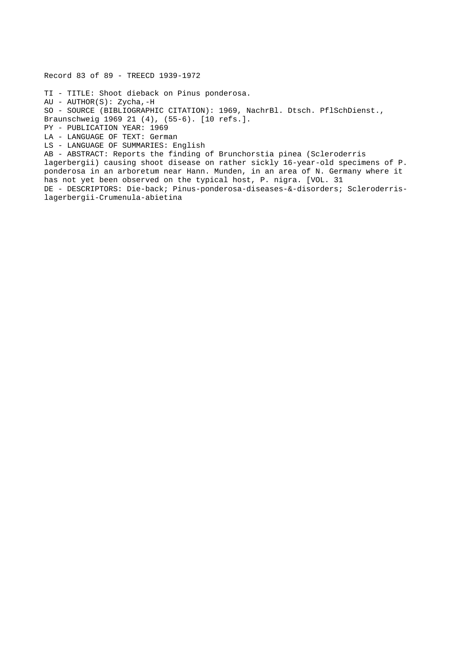Record 83 of 89 - TREECD 1939-1972 TI - TITLE: Shoot dieback on Pinus ponderosa. AU - AUTHOR(S): Zycha,-H SO - SOURCE (BIBLIOGRAPHIC CITATION): 1969, NachrBl. Dtsch. PflSchDienst., Braunschweig 1969 21 (4), (55-6). [10 refs.]. PY - PUBLICATION YEAR: 1969 LA - LANGUAGE OF TEXT: German LS - LANGUAGE OF SUMMARIES: English AB - ABSTRACT: Reports the finding of Brunchorstia pinea (Scleroderris lagerbergii) causing shoot disease on rather sickly 16-year-old specimens of P. ponderosa in an arboretum near Hann. Munden, in an area of N. Germany where it has not yet been observed on the typical host, P. nigra. [VOL. 31 DE - DESCRIPTORS: Die-back; Pinus-ponderosa-diseases-&-disorders; Scleroderrislagerbergii-Crumenula-abietina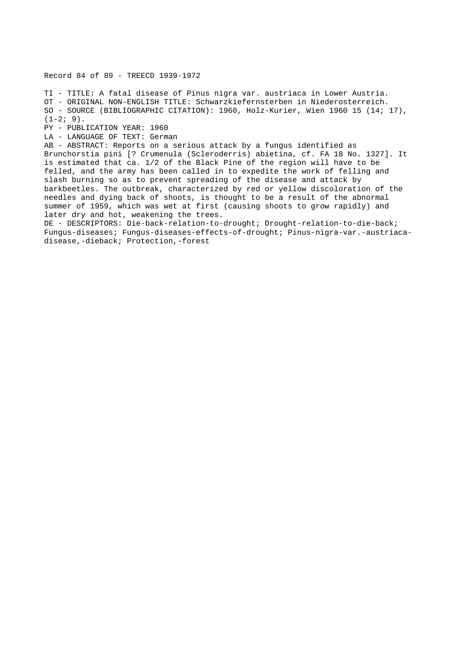Record 84 of 89 - TREECD 1939-1972

TI - TITLE: A fatal disease of Pinus nigra var. austriaca in Lower Austria. OT - ORIGINAL NON-ENGLISH TITLE: Schwarzkiefernsterben in Niederosterreich. SO - SOURCE (BIBLIOGRAPHIC CITATION): 1960, Holz-Kurier, Wien 1960 15 (14; 17),  $(1-2; 9)$ .

PY - PUBLICATION YEAR: 1960

LA - LANGUAGE OF TEXT: German

AB - ABSTRACT: Reports on a serious attack by a fungus identified as Brunchorstia pini [? Crumenula (Scleroderris) abietina, cf. FA 18 No. 1327]. It is estimated that ca. 1/2 of the Black Pine of the region will have to be felled, and the army has been called in to expedite the work of felling and slash burning so as to prevent spreading of the disease and attack by barkbeetles. The outbreak, characterized by red or yellow discoloration of the needles and dying back of shoots, is thought to be a result of the abnormal summer of 1959, which was wet at first (causing shoots to grow rapidly) and later dry and hot, weakening the trees.

DE - DESCRIPTORS: Die-back-relation-to-drought; Drought-relation-to-die-back; Fungus-diseases; Fungus-diseases-effects-of-drought; Pinus-nigra-var.-austriacadisease,-dieback; Protection,-forest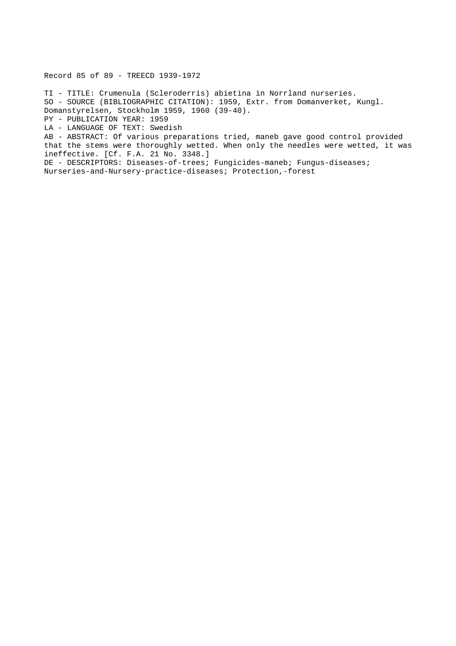Record 85 of 89 - TREECD 1939-1972

TI - TITLE: Crumenula (Scleroderris) abietina in Norrland nurseries. SO - SOURCE (BIBLIOGRAPHIC CITATION): 1959, Extr. from Domanverket, Kungl. Domanstyrelsen, Stockholm 1959, 1960 (39-40). PY - PUBLICATION YEAR: 1959

LA - LANGUAGE OF TEXT: Swedish

AB - ABSTRACT: Of various preparations tried, maneb gave good control provided that the stems were thoroughly wetted. When only the needles were wetted, it was ineffective. [Cf. F.A. 21 No. 3348.]

DE - DESCRIPTORS: Diseases-of-trees; Fungicides-maneb; Fungus-diseases; Nurseries-and-Nursery-practice-diseases; Protection,-forest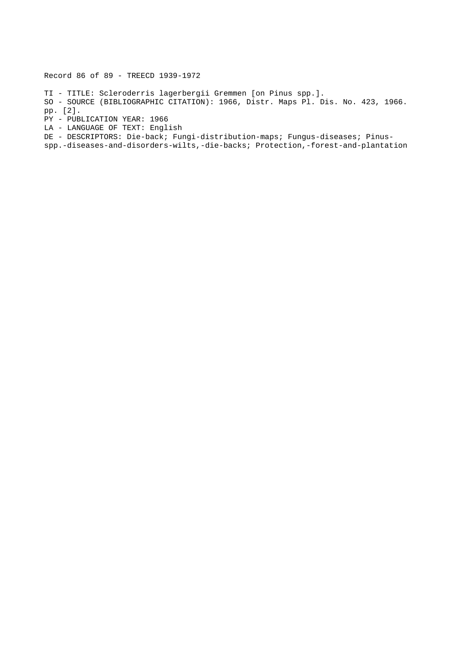Record 86 of 89 - TREECD 1939-1972

TI - TITLE: Scleroderris lagerbergii Gremmen [on Pinus spp.]. SO - SOURCE (BIBLIOGRAPHIC CITATION): 1966, Distr. Maps Pl. Dis. No. 423, 1966. pp. [2]. PY - PUBLICATION YEAR: 1966 LA - LANGUAGE OF TEXT: English DE - DESCRIPTORS: Die-back; Fungi-distribution-maps; Fungus-diseases; Pinus-

spp.-diseases-and-disorders-wilts,-die-backs; Protection,-forest-and-plantation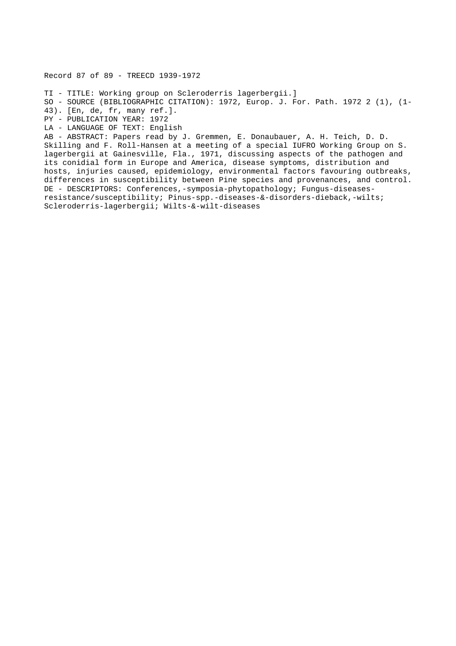Record 87 of 89 - TREECD 1939-1972

TI - TITLE: Working group on Scleroderris lagerbergii.] SO - SOURCE (BIBLIOGRAPHIC CITATION): 1972, Europ. J. For. Path. 1972 2 (1), (1- 43). [En, de, fr, many ref.]. PY - PUBLICATION YEAR: 1972 LA - LANGUAGE OF TEXT: English AB - ABSTRACT: Papers read by J. Gremmen, E. Donaubauer, A. H. Teich, D. D.

Skilling and F. Roll-Hansen at a meeting of a special IUFRO Working Group on S. lagerbergii at Gainesville, Fla., 1971, discussing aspects of the pathogen and its conidial form in Europe and America, disease symptoms, distribution and hosts, injuries caused, epidemiology, environmental factors favouring outbreaks, differences in susceptibility between Pine species and provenances, and control. DE - DESCRIPTORS: Conferences,-symposia-phytopathology; Fungus-diseasesresistance/susceptibility; Pinus-spp.-diseases-&-disorders-dieback,-wilts; Scleroderris-lagerbergii; Wilts-&-wilt-diseases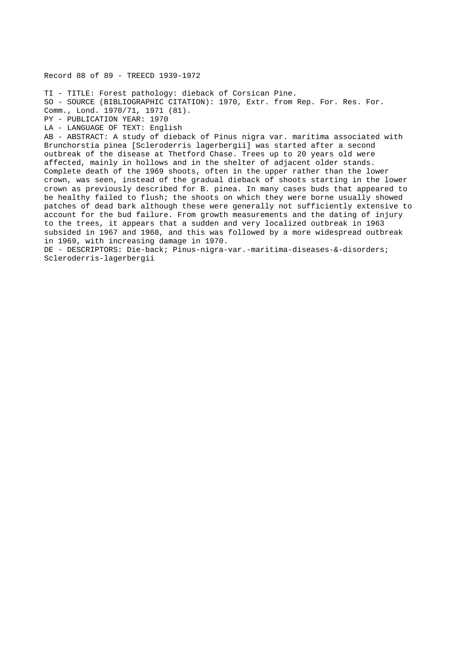Record 88 of 89 - TREECD 1939-1972

TI - TITLE: Forest pathology: dieback of Corsican Pine. SO - SOURCE (BIBLIOGRAPHIC CITATION): 1970, Extr. from Rep. For. Res. For. Comm., Lond. 1970/71, 1971 (81). PY - PUBLICATION YEAR: 1970 LA - LANGUAGE OF TEXT: English AB - ABSTRACT: A study of dieback of Pinus nigra var. maritima associated with Brunchorstia pinea [Scleroderris lagerbergii] was started after a second outbreak of the disease at Thetford Chase. Trees up to 20 years old were affected, mainly in hollows and in the shelter of adjacent older stands. Complete death of the 1969 shoots, often in the upper rather than the lower crown, was seen, instead of the gradual dieback of shoots starting in the lower crown as previously described for B. pinea. In many cases buds that appeared to be healthy failed to flush; the shoots on which they were borne usually showed patches of dead bark although these were generally not sufficiently extensive to account for the bud failure. From growth measurements and the dating of injury to the trees, it appears that a sudden and very localized outbreak in 1963 subsided in 1967 and 1968, and this was followed by a more widespread outbreak in 1969, with increasing damage in 1970. DE - DESCRIPTORS: Die-back; Pinus-nigra-var.-maritima-diseases-&-disorders;

Scleroderris-lagerbergii